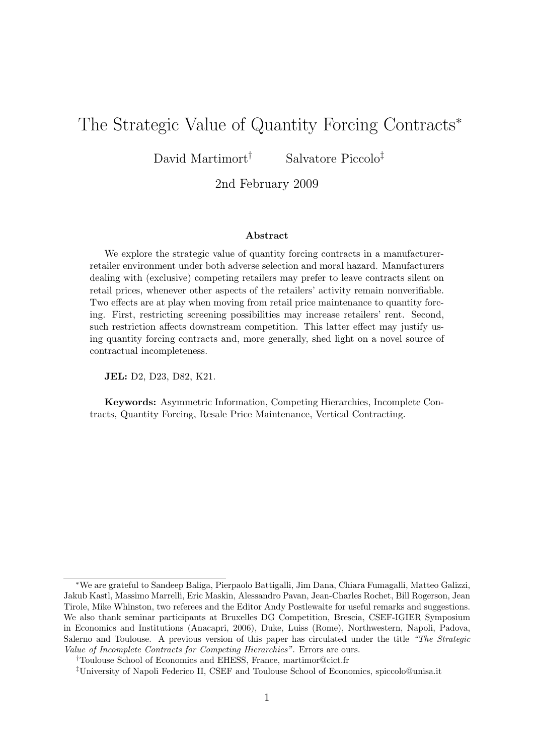# The Strategic Value of Quantity Forcing Contracts<sup>∗</sup>

David Martimort<sup>†</sup> Salvatore Piccolo<sup>‡</sup>

2nd February 2009

#### Abstract

We explore the strategic value of quantity forcing contracts in a manufacturerretailer environment under both adverse selection and moral hazard. Manufacturers dealing with (exclusive) competing retailers may prefer to leave contracts silent on retail prices, whenever other aspects of the retailers' activity remain nonverifiable. Two effects are at play when moving from retail price maintenance to quantity forcing. First, restricting screening possibilities may increase retailers' rent. Second, such restriction affects downstream competition. This latter effect may justify using quantity forcing contracts and, more generally, shed light on a novel source of contractual incompleteness.

JEL: D2, D23, D82, K21.

Keywords: Asymmetric Information, Competing Hierarchies, Incomplete Contracts, Quantity Forcing, Resale Price Maintenance, Vertical Contracting.

<sup>∗</sup>We are grateful to Sandeep Baliga, Pierpaolo Battigalli, Jim Dana, Chiara Fumagalli, Matteo Galizzi, Jakub Kastl, Massimo Marrelli, Eric Maskin, Alessandro Pavan, Jean-Charles Rochet, Bill Rogerson, Jean Tirole, Mike Whinston, two referees and the Editor Andy Postlewaite for useful remarks and suggestions. We also thank seminar participants at Bruxelles DG Competition, Brescia, CSEF-IGIER Symposium in Economics and Institutions (Anacapri, 2006), Duke, Luiss (Rome), Northwestern, Napoli, Padova, Salerno and Toulouse. A previous version of this paper has circulated under the title "The Strategic Value of Incomplete Contracts for Competing Hierarchies". Errors are ours.

<sup>†</sup>Toulouse School of Economics and EHESS, France, martimor@cict.fr

<sup>‡</sup>University of Napoli Federico II, CSEF and Toulouse School of Economics, spiccolo@unisa.it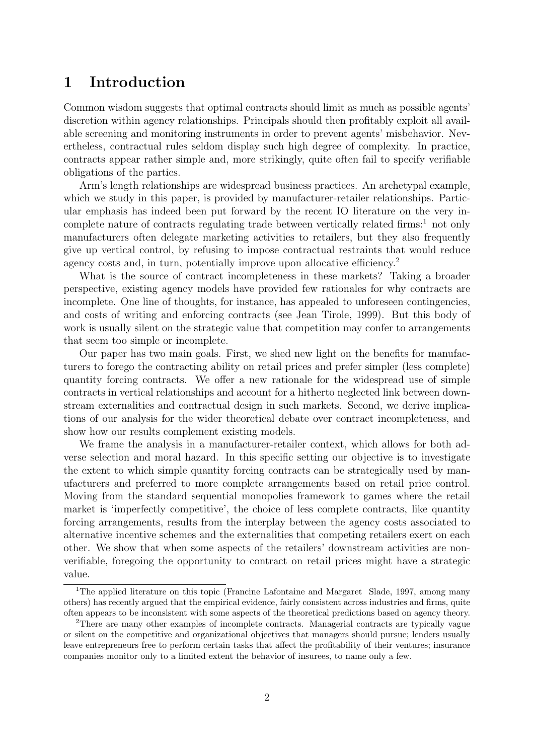### 1 Introduction

Common wisdom suggests that optimal contracts should limit as much as possible agents' discretion within agency relationships. Principals should then profitably exploit all available screening and monitoring instruments in order to prevent agents' misbehavior. Nevertheless, contractual rules seldom display such high degree of complexity. In practice, contracts appear rather simple and, more strikingly, quite often fail to specify verifiable obligations of the parties.

Arm's length relationships are widespread business practices. An archetypal example, which we study in this paper, is provided by manufacturer-retailer relationships. Particular emphasis has indeed been put forward by the recent IO literature on the very incomplete nature of contracts regulating trade between vertically related firms:<sup>1</sup> not only manufacturers often delegate marketing activities to retailers, but they also frequently give up vertical control, by refusing to impose contractual restraints that would reduce agency costs and, in turn, potentially improve upon allocative efficiency.<sup>2</sup>

What is the source of contract incompleteness in these markets? Taking a broader perspective, existing agency models have provided few rationales for why contracts are incomplete. One line of thoughts, for instance, has appealed to unforeseen contingencies, and costs of writing and enforcing contracts (see Jean Tirole, 1999). But this body of work is usually silent on the strategic value that competition may confer to arrangements that seem too simple or incomplete.

Our paper has two main goals. First, we shed new light on the benefits for manufacturers to forego the contracting ability on retail prices and prefer simpler (less complete) quantity forcing contracts. We offer a new rationale for the widespread use of simple contracts in vertical relationships and account for a hitherto neglected link between downstream externalities and contractual design in such markets. Second, we derive implications of our analysis for the wider theoretical debate over contract incompleteness, and show how our results complement existing models.

We frame the analysis in a manufacturer-retailer context, which allows for both adverse selection and moral hazard. In this specific setting our objective is to investigate the extent to which simple quantity forcing contracts can be strategically used by manufacturers and preferred to more complete arrangements based on retail price control. Moving from the standard sequential monopolies framework to games where the retail market is 'imperfectly competitive', the choice of less complete contracts, like quantity forcing arrangements, results from the interplay between the agency costs associated to alternative incentive schemes and the externalities that competing retailers exert on each other. We show that when some aspects of the retailers' downstream activities are nonverifiable, foregoing the opportunity to contract on retail prices might have a strategic value.

<sup>&</sup>lt;sup>1</sup>The applied literature on this topic (Francine Lafontaine and Margaret Slade, 1997, among many others) has recently argued that the empirical evidence, fairly consistent across industries and firms, quite often appears to be inconsistent with some aspects of the theoretical predictions based on agency theory.

<sup>2</sup>There are many other examples of incomplete contracts. Managerial contracts are typically vague or silent on the competitive and organizational objectives that managers should pursue; lenders usually leave entrepreneurs free to perform certain tasks that affect the profitability of their ventures; insurance companies monitor only to a limited extent the behavior of insurees, to name only a few.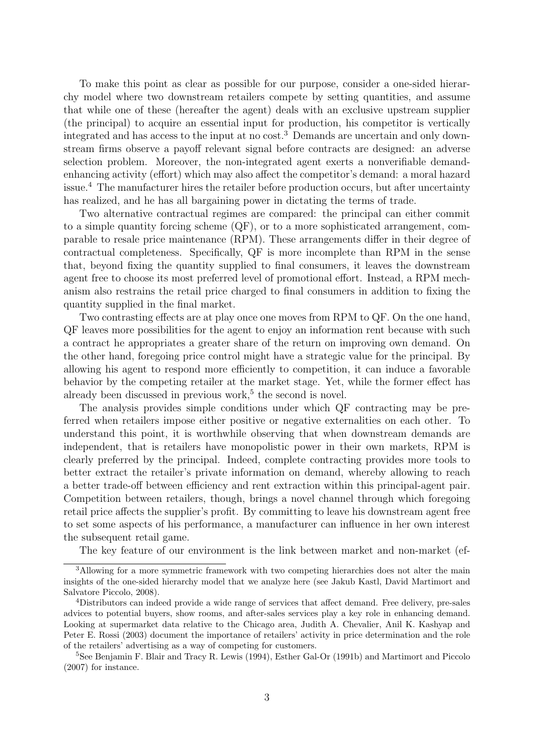To make this point as clear as possible for our purpose, consider a one-sided hierarchy model where two downstream retailers compete by setting quantities, and assume that while one of these (hereafter the agent) deals with an exclusive upstream supplier (the principal) to acquire an essential input for production, his competitor is vertically integrated and has access to the input at no cost.<sup>3</sup> Demands are uncertain and only downstream firms observe a payoff relevant signal before contracts are designed: an adverse selection problem. Moreover, the non-integrated agent exerts a nonverifiable demandenhancing activity (effort) which may also affect the competitor's demand: a moral hazard issue.<sup>4</sup> The manufacturer hires the retailer before production occurs, but after uncertainty has realized, and he has all bargaining power in dictating the terms of trade.

Two alternative contractual regimes are compared: the principal can either commit to a simple quantity forcing scheme (QF), or to a more sophisticated arrangement, comparable to resale price maintenance (RPM). These arrangements differ in their degree of contractual completeness. Specifically, QF is more incomplete than RPM in the sense that, beyond fixing the quantity supplied to final consumers, it leaves the downstream agent free to choose its most preferred level of promotional effort. Instead, a RPM mechanism also restrains the retail price charged to final consumers in addition to fixing the quantity supplied in the final market.

Two contrasting effects are at play once one moves from RPM to QF. On the one hand, QF leaves more possibilities for the agent to enjoy an information rent because with such a contract he appropriates a greater share of the return on improving own demand. On the other hand, foregoing price control might have a strategic value for the principal. By allowing his agent to respond more efficiently to competition, it can induce a favorable behavior by the competing retailer at the market stage. Yet, while the former effect has already been discussed in previous work,<sup>5</sup> the second is novel.

The analysis provides simple conditions under which QF contracting may be preferred when retailers impose either positive or negative externalities on each other. To understand this point, it is worthwhile observing that when downstream demands are independent, that is retailers have monopolistic power in their own markets, RPM is clearly preferred by the principal. Indeed, complete contracting provides more tools to better extract the retailer's private information on demand, whereby allowing to reach a better trade-off between efficiency and rent extraction within this principal-agent pair. Competition between retailers, though, brings a novel channel through which foregoing retail price affects the supplier's profit. By committing to leave his downstream agent free to set some aspects of his performance, a manufacturer can influence in her own interest the subsequent retail game.

The key feature of our environment is the link between market and non-market (ef-

<sup>&</sup>lt;sup>3</sup>Allowing for a more symmetric framework with two competing hierarchies does not alter the main insights of the one-sided hierarchy model that we analyze here (see Jakub Kastl, David Martimort and Salvatore Piccolo, 2008).

<sup>4</sup>Distributors can indeed provide a wide range of services that affect demand. Free delivery, pre-sales advices to potential buyers, show rooms, and after-sales services play a key role in enhancing demand. Looking at supermarket data relative to the Chicago area, Judith A. Chevalier, Anil K. Kashyap and Peter E. Rossi (2003) document the importance of retailers' activity in price determination and the role of the retailers' advertising as a way of competing for customers.

<sup>&</sup>lt;sup>5</sup>See Benjamin F. Blair and Tracy R. Lewis (1994), Esther Gal-Or (1991b) and Martimort and Piccolo (2007) for instance.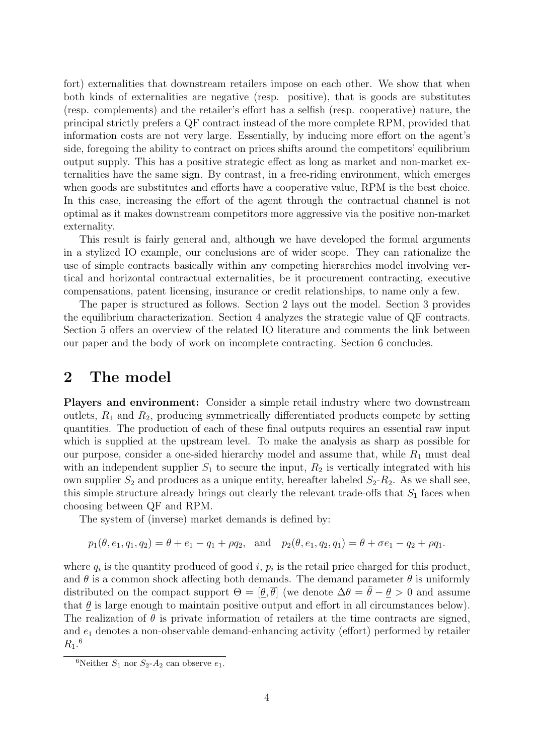fort) externalities that downstream retailers impose on each other. We show that when both kinds of externalities are negative (resp. positive), that is goods are substitutes (resp. complements) and the retailer's effort has a selfish (resp. cooperative) nature, the principal strictly prefers a QF contract instead of the more complete RPM, provided that information costs are not very large. Essentially, by inducing more effort on the agent's side, foregoing the ability to contract on prices shifts around the competitors' equilibrium output supply. This has a positive strategic effect as long as market and non-market externalities have the same sign. By contrast, in a free-riding environment, which emerges when goods are substitutes and efforts have a cooperative value, RPM is the best choice. In this case, increasing the effort of the agent through the contractual channel is not optimal as it makes downstream competitors more aggressive via the positive non-market externality.

This result is fairly general and, although we have developed the formal arguments in a stylized IO example, our conclusions are of wider scope. They can rationalize the use of simple contracts basically within any competing hierarchies model involving vertical and horizontal contractual externalities, be it procurement contracting, executive compensations, patent licensing, insurance or credit relationships, to name only a few.

The paper is structured as follows. Section 2 lays out the model. Section 3 provides the equilibrium characterization. Section 4 analyzes the strategic value of QF contracts. Section 5 offers an overview of the related IO literature and comments the link between our paper and the body of work on incomplete contracting. Section 6 concludes.

#### 2 The model

Players and environment: Consider a simple retail industry where two downstream outlets,  $R_1$  and  $R_2$ , producing symmetrically differentiated products compete by setting quantities. The production of each of these final outputs requires an essential raw input which is supplied at the upstream level. To make the analysis as sharp as possible for our purpose, consider a one-sided hierarchy model and assume that, while  $R_1$  must deal with an independent supplier  $S_1$  to secure the input,  $R_2$  is vertically integrated with his own supplier  $S_2$  and produces as a unique entity, hereafter labeled  $S_2-R_2$ . As we shall see, this simple structure already brings out clearly the relevant trade-offs that  $S_1$  faces when choosing between QF and RPM.

The system of (inverse) market demands is defined by:

$$
p_1(\theta, e_1, q_1, q_2) = \theta + e_1 - q_1 + \rho q_2
$$
, and  $p_2(\theta, e_1, q_2, q_1) = \theta + \sigma e_1 - q_2 + \rho q_1$ .

where  $q_i$  is the quantity produced of good i,  $p_i$  is the retail price charged for this product, and  $\theta$  is a common shock affecting both demands. The demand parameter  $\theta$  is uniformly distributed on the compact support  $\Theta = [\theta, \overline{\theta}]$  (we denote  $\Delta \theta = \overline{\theta} - \theta > 0$  and assume that  $\theta$  is large enough to maintain positive output and effort in all circumstances below). The realization of  $\theta$  is private information of retailers at the time contracts are signed, and  $e_1$  denotes a non-observable demand-enhancing activity (effort) performed by retailer  $R_1.^6$ 

<sup>&</sup>lt;sup>6</sup>Neither  $S_1$  nor  $S_2$ - $A_2$  can observe  $e_1$ .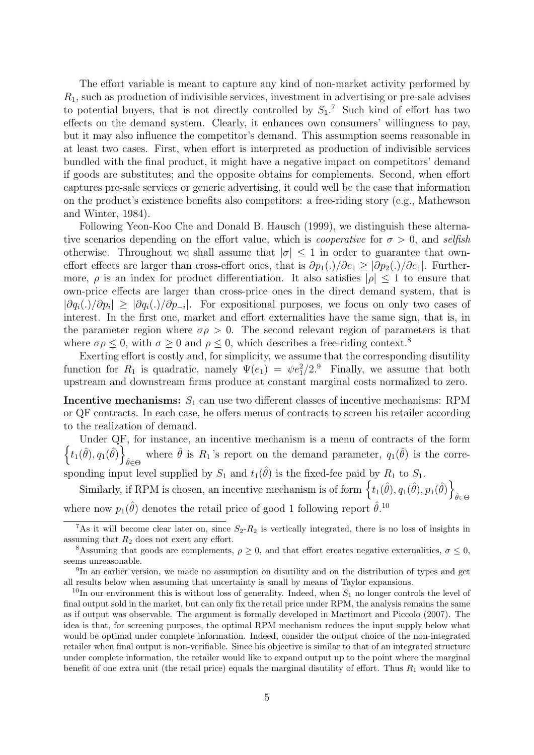The effort variable is meant to capture any kind of non-market activity performed by  $R_1$ , such as production of indivisible services, investment in advertising or pre-sale advises to potential buyers, that is not directly controlled by  $S_1$ .<sup>7</sup> Such kind of effort has two effects on the demand system. Clearly, it enhances own consumers' willingness to pay, but it may also influence the competitor's demand. This assumption seems reasonable in at least two cases. First, when effort is interpreted as production of indivisible services bundled with the final product, it might have a negative impact on competitors' demand if goods are substitutes; and the opposite obtains for complements. Second, when effort captures pre-sale services or generic advertising, it could well be the case that information on the product's existence benefits also competitors: a free-riding story (e.g., Mathewson and Winter, 1984).

Following Yeon-Koo Che and Donald B. Hausch (1999), we distinguish these alternative scenarios depending on the effort value, which is *cooperative* for  $\sigma > 0$ , and selfish otherwise. Throughout we shall assume that  $|\sigma| \leq 1$  in order to guarantee that owneffort effects are larger than cross-effort ones, that is  $\partial p_1(.)/\partial e_1 \geq |\partial p_2(.)/\partial e_1|$ . Furthermore,  $\rho$  is an index for product differentiation. It also satisfies  $|\rho| \leq 1$  to ensure that own-price effects are larger than cross-price ones in the direct demand system, that is  $|\partial q_i(.)/\partial p_i| \geq |\partial q_i(.)/\partial p_{-i}|$ . For expositional purposes, we focus on only two cases of interest. In the first one, market and effort externalities have the same sign, that is, in the parameter region where  $\sigma \rho > 0$ . The second relevant region of parameters is that where  $\sigma \rho \leq 0$ , with  $\sigma \geq 0$  and  $\rho \leq 0$ , which describes a free-riding context.<sup>8</sup>

Exerting effort is costly and, for simplicity, we assume that the corresponding disutility function for  $R_1$  is quadratic, namely  $\Psi(e_1) = \psi e_1^2/2$ . Finally, we assume that both upstream and downstream firms produce at constant marginal costs normalized to zero.

**Incentive mechanisms:**  $S_1$  can use two different classes of incentive mechanisms: RPM or QF contracts. In each case, he offers menus of contracts to screen his retailer according to the realization of demand.

 $\left\{t_1(\hat{\theta}), q_1(\hat{\theta})\right\}$ Under QF, for instance, an incentive mechanism is a menu of contracts of the form where  $\hat{\theta}$  is  $R_1$ 's report on the demand parameter,  $q_1(\hat{\theta})$  is the corresponding input level supplied by  $S_1$  and  $t_1(\hat{\theta})$  is the fixed-fee paid by  $R_1$  to  $S_1$ .

Similarly, if RPM is chosen, an incentive mechanism is of form  $\{t_1(\hat{\theta}), q_1(\hat{\theta}), p_1(\hat{\theta})\}$  $\hat{\theta} \in \Theta$ where now  $p_1(\hat{\theta})$  denotes the retail price of good 1 following report  $\hat{\theta}$ .<sup>10</sup>

<sup>&</sup>lt;sup>7</sup>As it will become clear later on, since  $S_2-R_2$  is vertically integrated, there is no loss of insights in assuming that  $R_2$  does not exert any effort.

<sup>&</sup>lt;sup>8</sup>Assuming that goods are complements,  $\rho \geq 0$ , and that effort creates negative externalities,  $\sigma \leq 0$ , seems unreasonable.

<sup>&</sup>lt;sup>9</sup>In an earlier version, we made no assumption on disutility and on the distribution of types and get all results below when assuming that uncertainty is small by means of Taylor expansions.

<sup>&</sup>lt;sup>10</sup>In our environment this is without loss of generality. Indeed, when  $S_1$  no longer controls the level of final output sold in the market, but can only fix the retail price under RPM, the analysis remains the same as if output was observable. The argument is formally developed in Martimort and Piccolo (2007). The idea is that, for screening purposes, the optimal RPM mechanism reduces the input supply below what would be optimal under complete information. Indeed, consider the output choice of the non-integrated retailer when final output is non-verifiable. Since his objective is similar to that of an integrated structure under complete information, the retailer would like to expand output up to the point where the marginal benefit of one extra unit (the retail price) equals the marginal disutility of effort. Thus  $R_1$  would like to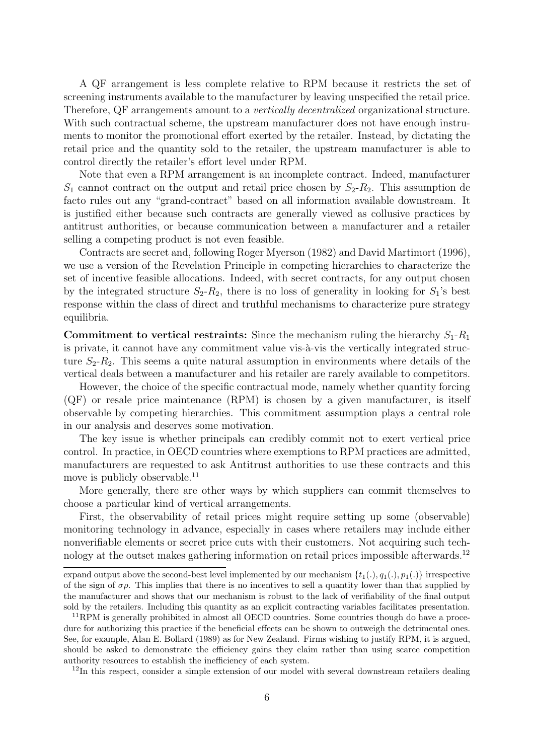A QF arrangement is less complete relative to RPM because it restricts the set of screening instruments available to the manufacturer by leaving unspecified the retail price. Therefore, QF arrangements amount to a vertically decentralized organizational structure. With such contractual scheme, the upstream manufacturer does not have enough instruments to monitor the promotional effort exerted by the retailer. Instead, by dictating the retail price and the quantity sold to the retailer, the upstream manufacturer is able to control directly the retailer's effort level under RPM.

Note that even a RPM arrangement is an incomplete contract. Indeed, manufacturer  $S_1$  cannot contract on the output and retail price chosen by  $S_2-R_2$ . This assumption de facto rules out any "grand-contract" based on all information available downstream. It is justified either because such contracts are generally viewed as collusive practices by antitrust authorities, or because communication between a manufacturer and a retailer selling a competing product is not even feasible.

Contracts are secret and, following Roger Myerson (1982) and David Martimort (1996), we use a version of the Revelation Principle in competing hierarchies to characterize the set of incentive feasible allocations. Indeed, with secret contracts, for any output chosen by the integrated structure  $S_2-R_2$ , there is no loss of generality in looking for  $S_1$ 's best response within the class of direct and truthful mechanisms to characterize pure strategy equilibria.

**Commitment to vertical restraints:** Since the mechanism ruling the hierarchy  $S_1$ - $R_1$ is private, it cannot have any commitment value vis- $\hat{a}$ -vis the vertically integrated structure  $S_2-R_2$ . This seems a quite natural assumption in environments where details of the vertical deals between a manufacturer and his retailer are rarely available to competitors.

However, the choice of the specific contractual mode, namely whether quantity forcing (QF) or resale price maintenance (RPM) is chosen by a given manufacturer, is itself observable by competing hierarchies. This commitment assumption plays a central role in our analysis and deserves some motivation.

The key issue is whether principals can credibly commit not to exert vertical price control. In practice, in OECD countries where exemptions to RPM practices are admitted, manufacturers are requested to ask Antitrust authorities to use these contracts and this move is publicly observable.<sup>11</sup>

More generally, there are other ways by which suppliers can commit themselves to choose a particular kind of vertical arrangements.

First, the observability of retail prices might require setting up some (observable) monitoring technology in advance, especially in cases where retailers may include either nonverifiable elements or secret price cuts with their customers. Not acquiring such technology at the outset makes gathering information on retail prices impossible afterwards.<sup>12</sup>

<sup>12</sup>In this respect, consider a simple extension of our model with several downstream retailers dealing

expand output above the second-best level implemented by our mechanism  $\{t_1(.)$ ,  $q_1(.)$ ,  $p_1(.)$ } irrespective of the sign of  $\sigma\rho$ . This implies that there is no incentives to sell a quantity lower than that supplied by the manufacturer and shows that our mechanism is robust to the lack of verifiability of the final output sold by the retailers. Including this quantity as an explicit contracting variables facilitates presentation.

<sup>&</sup>lt;sup>11</sup>RPM is generally prohibited in almost all OECD countries. Some countries though do have a procedure for authorizing this practice if the beneficial effects can be shown to outweigh the detrimental ones. See, for example, Alan E. Bollard (1989) as for New Zealand. Firms wishing to justify RPM, it is argued, should be asked to demonstrate the efficiency gains they claim rather than using scarce competition authority resources to establish the inefficiency of each system.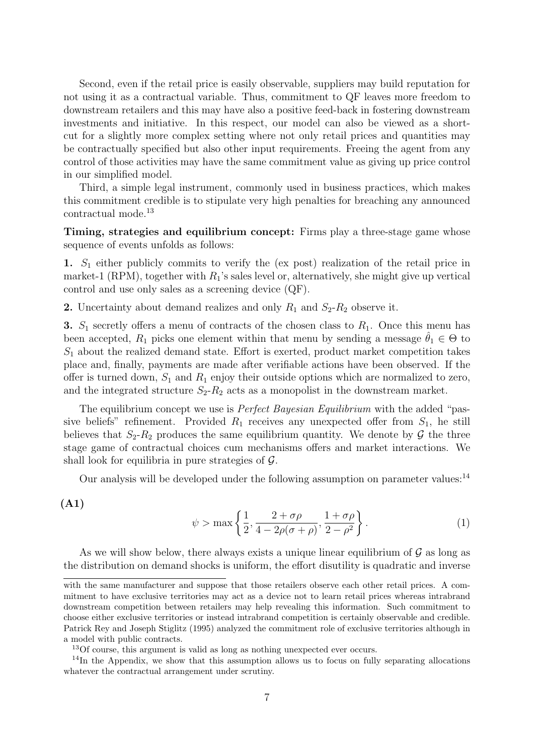Second, even if the retail price is easily observable, suppliers may build reputation for not using it as a contractual variable. Thus, commitment to QF leaves more freedom to downstream retailers and this may have also a positive feed-back in fostering downstream investments and initiative. In this respect, our model can also be viewed as a shortcut for a slightly more complex setting where not only retail prices and quantities may be contractually specified but also other input requirements. Freeing the agent from any control of those activities may have the same commitment value as giving up price control in our simplified model.

Third, a simple legal instrument, commonly used in business practices, which makes this commitment credible is to stipulate very high penalties for breaching any announced contractual mode.<sup>13</sup>

Timing, strategies and equilibrium concept: Firms play a three-stage game whose sequence of events unfolds as follows:

1.  $S_1$  either publicly commits to verify the (ex post) realization of the retail price in market-1 (RPM), together with  $R_1$ 's sales level or, alternatively, she might give up vertical control and use only sales as a screening device (QF).

2. Uncertainty about demand realizes and only  $R_1$  and  $S_2-R_2$  observe it.

3.  $S_1$  secretly offers a menu of contracts of the chosen class to  $R_1$ . Once this menu has been accepted,  $R_1$  picks one element within that menu by sending a message  $\hat{\theta}_1 \in \Theta$  to  $S_1$  about the realized demand state. Effort is exerted, product market competition takes place and, finally, payments are made after verifiable actions have been observed. If the offer is turned down,  $S_1$  and  $R_1$  enjoy their outside options which are normalized to zero, and the integrated structure  $S_2-R_2$  acts as a monopolist in the downstream market.

The equilibrium concept we use is *Perfect Bayesian Equilibrium* with the added "passive beliefs" refinement. Provided  $R_1$  receives any unexpected offer from  $S_1$ , he still believes that  $S_2-R_2$  produces the same equilibrium quantity. We denote by  $\mathcal G$  the three stage game of contractual choices cum mechanisms offers and market interactions. We shall look for equilibria in pure strategies of  $\mathcal{G}$ .

Our analysis will be developed under the following assumption on parameter values: $^{14}$ 

$$
(\mathrm{A1})
$$

$$
\psi > \max\left\{\frac{1}{2}, \frac{2+\sigma\rho}{4-2\rho(\sigma+\rho)}, \frac{1+\sigma\rho}{2-\rho^2}\right\}.
$$
\n(1)

As we will show below, there always exists a unique linear equilibrium of  $\mathcal G$  as long as the distribution on demand shocks is uniform, the effort disutility is quadratic and inverse

with the same manufacturer and suppose that those retailers observe each other retail prices. A commitment to have exclusive territories may act as a device not to learn retail prices whereas intrabrand downstream competition between retailers may help revealing this information. Such commitment to choose either exclusive territories or instead intrabrand competition is certainly observable and credible. Patrick Rey and Joseph Stiglitz (1995) analyzed the commitment role of exclusive territories although in a model with public contracts.

<sup>13</sup>Of course, this argument is valid as long as nothing unexpected ever occurs.

<sup>&</sup>lt;sup>14</sup>In the Appendix, we show that this assumption allows us to focus on fully separating allocations whatever the contractual arrangement under scrutiny.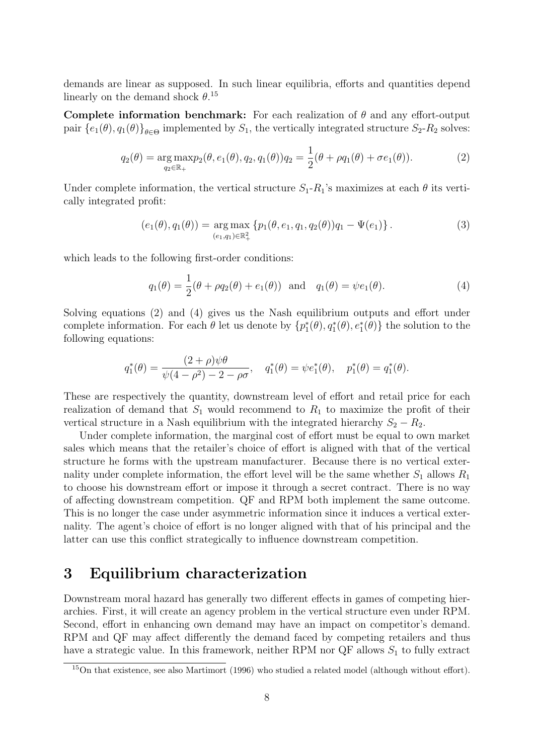demands are linear as supposed. In such linear equilibria, efforts and quantities depend linearly on the demand shock  $\theta$ <sup>15</sup>

Complete information benchmark: For each realization of  $\theta$  and any effort-output pair  $\{e_1(\theta), q_1(\theta)\}_{\theta \in \Theta}$  implemented by  $S_1$ , the vertically integrated structure  $S_2$ - $R_2$  solves:

$$
q_2(\theta) = \underset{q_2 \in \mathbb{R}_+}{\arg \max} p_2(\theta, e_1(\theta), q_2, q_1(\theta)) q_2 = \frac{1}{2} (\theta + \rho q_1(\theta) + \sigma e_1(\theta)).
$$
\n(2)

Under complete information, the vertical structure  $S_1 - R_1$ 's maximizes at each  $\theta$  its vertically integrated profit:

$$
(e_1(\theta), q_1(\theta)) = \underset{(e_1, q_1) \in \mathbb{R}_+^2}{\arg \max} \{ p_1(\theta, e_1, q_1, q_2(\theta)) q_1 - \Psi(e_1) \}.
$$
 (3)

which leads to the following first-order conditions:

$$
q_1(\theta) = \frac{1}{2}(\theta + \rho q_2(\theta) + e_1(\theta))
$$
 and  $q_1(\theta) = \psi e_1(\theta)$ . (4)

Solving equations (2) and (4) gives us the Nash equilibrium outputs and effort under complete information. For each  $\theta$  let us denote by  $\{p_1^*(\theta), q_1^*(\theta), e_1^*(\theta)\}\)$  the solution to the following equations:

$$
q_1^*(\theta) = \frac{(2+\rho)\psi\theta}{\psi(4-\rho^2) - 2 - \rho\sigma}, \quad q_1^*(\theta) = \psi e_1^*(\theta), \quad p_1^*(\theta) = q_1^*(\theta).
$$

These are respectively the quantity, downstream level of effort and retail price for each realization of demand that  $S_1$  would recommend to  $R_1$  to maximize the profit of their vertical structure in a Nash equilibrium with the integrated hierarchy  $S_2 - R_2$ .

Under complete information, the marginal cost of effort must be equal to own market sales which means that the retailer's choice of effort is aligned with that of the vertical structure he forms with the upstream manufacturer. Because there is no vertical externality under complete information, the effort level will be the same whether  $S_1$  allows  $R_1$ to choose his downstream effort or impose it through a secret contract. There is no way of affecting downstream competition. QF and RPM both implement the same outcome. This is no longer the case under asymmetric information since it induces a vertical externality. The agent's choice of effort is no longer aligned with that of his principal and the latter can use this conflict strategically to influence downstream competition.

### 3 Equilibrium characterization

Downstream moral hazard has generally two different effects in games of competing hierarchies. First, it will create an agency problem in the vertical structure even under RPM. Second, effort in enhancing own demand may have an impact on competitor's demand. RPM and QF may affect differently the demand faced by competing retailers and thus have a strategic value. In this framework, neither RPM nor QF allows  $S_1$  to fully extract

<sup>15</sup>On that existence, see also Martimort (1996) who studied a related model (although without effort).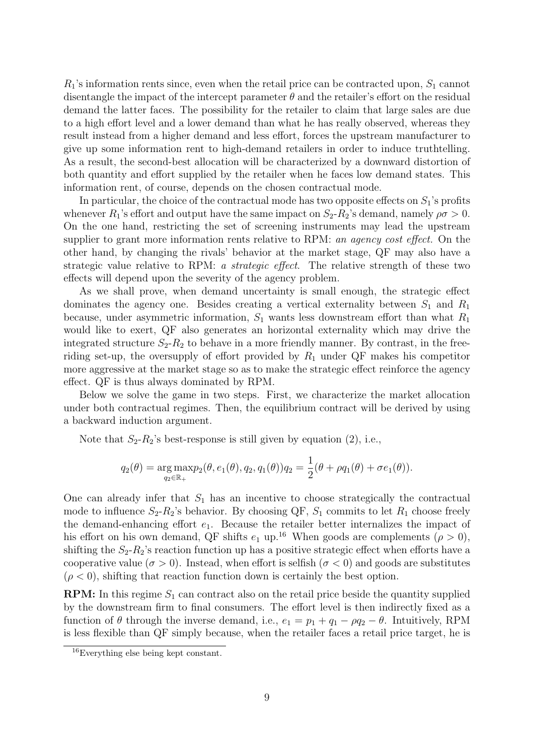$R_1$ 's information rents since, even when the retail price can be contracted upon,  $S_1$  cannot disentangle the impact of the intercept parameter  $\theta$  and the retailer's effort on the residual demand the latter faces. The possibility for the retailer to claim that large sales are due to a high effort level and a lower demand than what he has really observed, whereas they result instead from a higher demand and less effort, forces the upstream manufacturer to give up some information rent to high-demand retailers in order to induce truthtelling. As a result, the second-best allocation will be characterized by a downward distortion of both quantity and effort supplied by the retailer when he faces low demand states. This information rent, of course, depends on the chosen contractual mode.

In particular, the choice of the contractual mode has two opposite effects on  $S_1$ 's profits whenever  $R_1$ 's effort and output have the same impact on  $S_2-R_2$ 's demand, namely  $\rho\sigma>0$ . On the one hand, restricting the set of screening instruments may lead the upstream supplier to grant more information rents relative to RPM: an agency cost effect. On the other hand, by changing the rivals' behavior at the market stage, QF may also have a strategic value relative to RPM: a strategic effect. The relative strength of these two effects will depend upon the severity of the agency problem.

As we shall prove, when demand uncertainty is small enough, the strategic effect dominates the agency one. Besides creating a vertical externality between  $S_1$  and  $R_1$ because, under asymmetric information,  $S_1$  wants less downstream effort than what  $R_1$ would like to exert, QF also generates an horizontal externality which may drive the integrated structure  $S_2-R_2$  to behave in a more friendly manner. By contrast, in the freeriding set-up, the oversupply of effort provided by  $R_1$  under QF makes his competitor more aggressive at the market stage so as to make the strategic effect reinforce the agency effect. QF is thus always dominated by RPM.

Below we solve the game in two steps. First, we characterize the market allocation under both contractual regimes. Then, the equilibrium contract will be derived by using a backward induction argument.

Note that  $S_2-R_2$ 's best-response is still given by equation (2), i.e.,

$$
q_2(\theta) = \underset{q_2 \in \mathbb{R}_+}{\arg \max} p_2(\theta, e_1(\theta), q_2, q_1(\theta)) q_2 = \frac{1}{2}(\theta + \rho q_1(\theta) + \sigma e_1(\theta)).
$$

One can already infer that  $S_1$  has an incentive to choose strategically the contractual mode to influence  $S_2-R_2$ 's behavior. By choosing QF,  $S_1$  commits to let  $R_1$  choose freely the demand-enhancing effort  $e_1$ . Because the retailer better internalizes the impact of his effort on his own demand, QF shifts  $e_1$  up.<sup>16</sup> When goods are complements ( $\rho > 0$ ), shifting the  $S_2-R_2$ 's reaction function up has a positive strategic effect when efforts have a cooperative value ( $\sigma > 0$ ). Instead, when effort is selfish ( $\sigma < 0$ ) and goods are substitutes  $(\rho < 0)$ , shifting that reaction function down is certainly the best option.

**RPM:** In this regime  $S_1$  can contract also on the retail price beside the quantity supplied by the downstream firm to final consumers. The effort level is then indirectly fixed as a function of  $\theta$  through the inverse demand, i.e.,  $e_1 = p_1 + q_1 - \rho q_2 - \theta$ . Intuitively, RPM is less flexible than QF simply because, when the retailer faces a retail price target, he is

<sup>16</sup>Everything else being kept constant.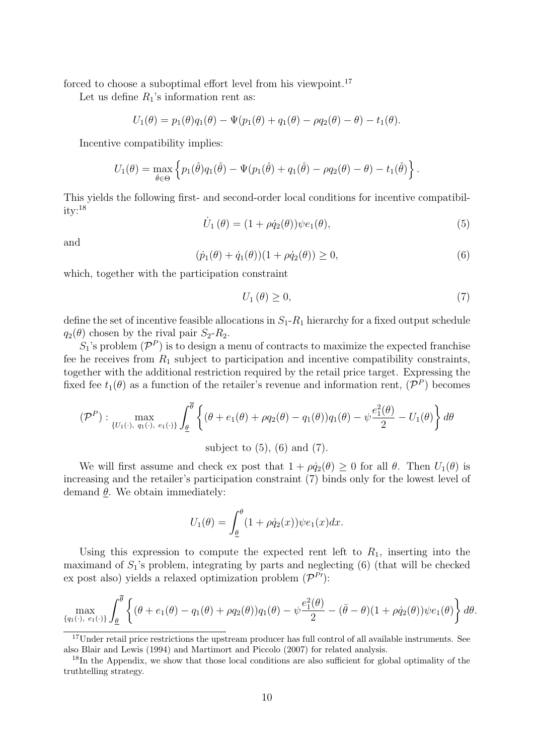forced to choose a suboptimal effort level from his viewpoint.<sup>17</sup>

Let us define  $R_1$ 's information rent as:

$$
U_1(\theta) = p_1(\theta)q_1(\theta) - \Psi(p_1(\theta) + q_1(\theta) - \rho q_2(\theta) - \theta) - t_1(\theta).
$$

Incentive compatibility implies:

$$
U_1(\theta) = \max_{\hat{\theta} \in \Theta} \left\{ p_1(\hat{\theta}) q_1(\hat{\theta}) - \Psi(p_1(\hat{\theta}) + q_1(\hat{\theta}) - \rho q_2(\theta) - \theta) - t_1(\hat{\theta}) \right\}.
$$

This yields the following first- and second-order local conditions for incentive compatibil $ity:$ <sup>18</sup>

$$
\dot{U}_1(\theta) = (1 + \rho \dot{q}_2(\theta)) \psi e_1(\theta), \qquad (5)
$$

and

$$
(\dot{p}_1(\theta) + \dot{q}_1(\theta))(1 + \rho \dot{q}_2(\theta)) \ge 0,
$$
\n(6)

which, together with the participation constraint

$$
U_1(\theta) \ge 0,\tag{7}
$$

define the set of incentive feasible allocations in  $S_1-R_1$  hierarchy for a fixed output schedule  $q_2(\theta)$  chosen by the rival pair  $S_2-R_2$ .

 $S_1$ 's problem  $(\mathcal{P}^P)$  is to design a menu of contracts to maximize the expected franchise fee he receives from  $R_1$  subject to participation and incentive compatibility constraints, together with the additional restriction required by the retail price target. Expressing the fixed fee  $t_1(\theta)$  as a function of the retailer's revenue and information rent,  $(\mathcal{P}^P)$  becomes

$$
(\mathcal{P}^P): \max_{\{U_1(\cdot), q_1(\cdot), e_1(\cdot)\}} \int_{\underline{\theta}}^{\overline{\theta}} \left\{ (\theta + e_1(\theta) + \rho q_2(\theta) - q_1(\theta)) q_1(\theta) - \psi \frac{e_1^2(\theta)}{2} - U_1(\theta) \right\} d\theta
$$
  
subject to (5), (6) and (7).

We will first assume and check ex post that  $1 + \rho \dot{q}_2(\theta) \geq 0$  for all  $\theta$ . Then  $U_1(\theta)$  is increasing and the retailer's participation constraint (7) binds only for the lowest level of demand  $\theta$ . We obtain immediately:

$$
U_1(\theta) = \int_{\underline{\theta}}^{\theta} (1 + \rho \dot{q}_2(x)) \psi e_1(x) dx.
$$

Using this expression to compute the expected rent left to  $R_1$ , inserting into the maximand of  $S_1$ 's problem, integrating by parts and neglecting (6) (that will be checked ex post also) yields a relaxed optimization problem  $(\mathcal{P}^{P'})$ :

$$
\max_{\{q_1(\cdot), e_1(\cdot)\}} \int_{\underline{\theta}}^{\overline{\theta}} \left\{ (\theta + e_1(\theta) - q_1(\theta) + \rho q_2(\theta)) q_1(\theta) - \psi \frac{e_1^2(\theta)}{2} - (\overline{\theta} - \theta)(1 + \rho \dot{q}_2(\theta)) \psi e_1(\theta) \right\} d\theta.
$$

<sup>&</sup>lt;sup>17</sup>Under retail price restrictions the upstream producer has full control of all available instruments. See also Blair and Lewis (1994) and Martimort and Piccolo (2007) for related analysis.

<sup>&</sup>lt;sup>18</sup>In the Appendix, we show that those local conditions are also sufficient for global optimality of the truthtelling strategy.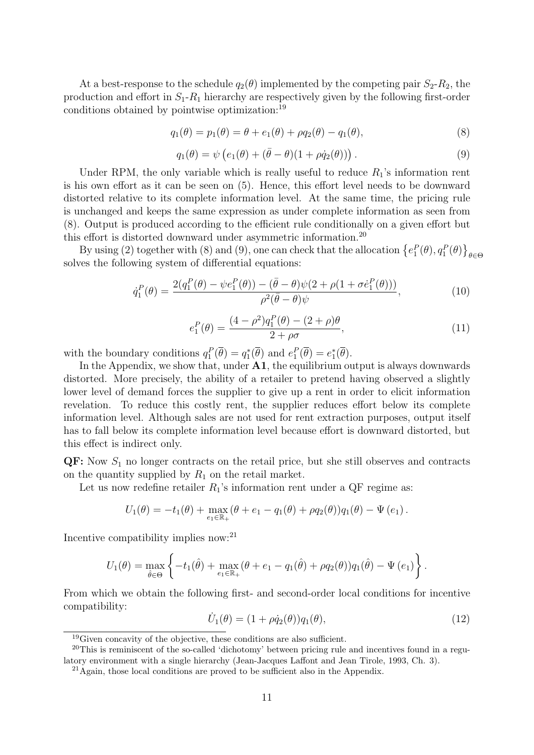At a best-response to the schedule  $q_2(\theta)$  implemented by the competing pair  $S_2-R_2$ , the production and effort in  $S_1-R_1$  hierarchy are respectively given by the following first-order conditions obtained by pointwise optimization:<sup>19</sup>

$$
q_1(\theta) = p_1(\theta) = \theta + e_1(\theta) + \rho q_2(\theta) - q_1(\theta),
$$
\n(8)

$$
q_1(\theta) = \psi \left( e_1(\theta) + (\bar{\theta} - \theta)(1 + \rho \dot{q}_2(\theta)) \right). \tag{9}
$$

Under RPM, the only variable which is really useful to reduce  $R_1$ 's information rent is his own effort as it can be seen on (5). Hence, this effort level needs to be downward distorted relative to its complete information level. At the same time, the pricing rule is unchanged and keeps the same expression as under complete information as seen from (8). Output is produced according to the efficient rule conditionally on a given effort but this effort is distorted downward under asymmetric information.<sup>20</sup>

By using (2) together with (8) and (9), one can check that the allocation  $\{e_1^P(\theta), q_1^P(\theta)\}_{\theta \in \Theta}$ solves the following system of differential equations:

$$
\dot{q}_1^P(\theta) = \frac{2(q_1^P(\theta) - \psi e_1^P(\theta)) - (\bar{\theta} - \theta)\psi(2 + \rho(1 + \sigma \dot{e}_1^P(\theta)))}{\rho^2(\bar{\theta} - \theta)\psi},
$$
\n(10)

$$
e_1^P(\theta) = \frac{(4 - \rho^2)q_1^P(\theta) - (2 + \rho)\theta}{2 + \rho\sigma},
$$
\n(11)

with the boundary conditions  $q_1^P(\overline{\theta}) = q_1^*(\overline{\theta})$  and  $e_1^P(\overline{\theta}) = e_1^*(\overline{\theta})$ .

In the Appendix, we show that, under  $A1$ , the equilibrium output is always downwards distorted. More precisely, the ability of a retailer to pretend having observed a slightly lower level of demand forces the supplier to give up a rent in order to elicit information revelation. To reduce this costly rent, the supplier reduces effort below its complete information level. Although sales are not used for rent extraction purposes, output itself has to fall below its complete information level because effort is downward distorted, but this effect is indirect only.

 $\mathbf{Q}$ F: Now  $S_1$  no longer contracts on the retail price, but she still observes and contracts on the quantity supplied by  $R_1$  on the retail market.

Let us now redefine retailer  $R_1$ 's information rent under a QF regime as:

$$
U_1(\theta) = -t_1(\theta) + \max_{e_1 \in \mathbb{R}_+} (\theta + e_1 - q_1(\theta) + \rho q_2(\theta)) q_1(\theta) - \Psi(e_1).
$$

Incentive compatibility implies now:<sup>21</sup>

$$
U_1(\theta) = \max_{\hat{\theta} \in \Theta} \left\{ -t_1(\hat{\theta}) + \max_{e_1 \in \mathbb{R}_+} (\theta + e_1 - q_1(\hat{\theta}) + \rho q_2(\theta)) q_1(\hat{\theta}) - \Psi(e_1) \right\}.
$$

From which we obtain the following first- and second-order local conditions for incentive compatibility:

$$
\dot{U}_1(\theta) = (1 + \rho \dot{q}_2(\theta)) q_1(\theta), \qquad (12)
$$

<sup>&</sup>lt;sup>19</sup>Given concavity of the objective, these conditions are also sufficient.

<sup>&</sup>lt;sup>20</sup>This is reminiscent of the so-called 'dichotomy' between pricing rule and incentives found in a regulatory environment with a single hierarchy (Jean-Jacques Laffont and Jean Tirole, 1993, Ch. 3).

<sup>21</sup>Again, those local conditions are proved to be sufficient also in the Appendix.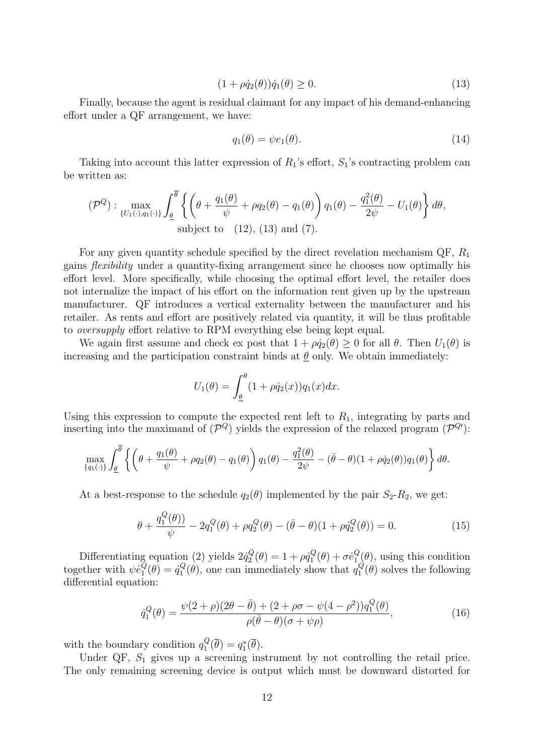$$
(1 + \rho \dot{q}_2(\theta))\dot{q}_1(\theta) \ge 0. \tag{13}
$$

Finally, because the agent is residual claimant for any impact of his demand-enhancing effort under a QF arrangement, we have:

$$
q_1(\theta) = \psi e_1(\theta). \tag{14}
$$

Taking into account this latter expression of  $R_1$ 's effort,  $S_1$ 's contracting problem can be written as:

$$
(\mathcal{P}^Q): \max_{\{U_1(\cdot), q_1(\cdot)\}} \int_{\underline{\theta}}^{\overline{\theta}} \left\{ \left( \theta + \frac{q_1(\theta)}{\psi} + \rho q_2(\theta) - q_1(\theta) \right) q_1(\theta) - \frac{q_1^2(\theta)}{2\psi} - U_1(\theta) \right\} d\theta,
$$
  
subject to (12), (13) and (7).

For any given quantity schedule specified by the direct revelation mechanism  $\mathbb{Q}F$ ,  $R_1$ gains flexibility under a quantity-fixing arrangement since he chooses now optimally his effort level. More specifically, while choosing the optimal effort level, the retailer does not internalize the impact of his effort on the information rent given up by the upstream manufacturer. QF introduces a vertical externality between the manufacturer and his retailer. As rents and effort are positively related via quantity, it will be thus profitable to oversupply effort relative to RPM everything else being kept equal.

We again first assume and check ex post that  $1 + \rho \dot{q}_2(\theta) \geq 0$  for all  $\theta$ . Then  $U_1(\theta)$  is increasing and the participation constraint binds at  $\theta$  only. We obtain immediately:

$$
U_1(\theta) = \int_{\underline{\theta}}^{\theta} (1 + \rho \dot{q}_2(x)) q_1(x) dx.
$$

Using this expression to compute the expected rent left to  $R_1$ , integrating by parts and inserting into the maximand of  $(\mathcal{P}^Q)$  yields the expression of the relaxed program  $(\mathcal{P}^{Q})$ :

$$
\max_{\{q_1(\cdot)\}} \int_{\underline{\theta}}^{\overline{\theta}} \left\{ \left( \theta + \frac{q_1(\theta)}{\psi} + \rho q_2(\theta) - q_1(\theta) \right) q_1(\theta) - \frac{q_1^2(\theta)}{2\psi} - (\overline{\theta} - \theta)(1 + \rho \dot{q}_2(\theta)) q_1(\theta) \right\} d\theta.
$$

At a best-response to the schedule  $q_2(\theta)$  implemented by the pair  $S_2-R_2$ , we get:

$$
\theta + \frac{q_1^Q(\theta)}{\psi} - 2q_1^Q(\theta) + \rho q_2^Q(\theta) - (\bar{\theta} - \theta)(1 + \rho \dot{q}_2^Q(\theta)) = 0.
$$
 (15)

Differentiating equation (2) yields  $2\dot{q}_2^Q$  $p_2^Q(\theta) = 1 + \rho \dot{q}_1^Q$  $g^Q_1(\theta)+\sigma \dot{e}^Q_1$  $\mathcal{Q}_{1}^{Q}(\theta)$ , using this condition together with  $\psi \dot{e}_1^{\bar{Q}}$  $\overline{\dot{Q}}_{1}(\theta) = \dot{q}_{1}^{Q}$  $_1^Q(\theta)$ , one can immediately show that  $q_1^Q$  $\int_{1}^{Q}(\theta)$  solves the following differential equation:

$$
\dot{q}_1^Q(\theta) = \frac{\psi(2+\rho)(2\theta - \bar{\theta}) + (2+\rho\sigma - \psi(4-\rho^2))q_1^Q(\theta)}{\rho(\bar{\theta} - \theta)(\sigma + \psi\rho)},
$$
(16)

with the boundary condition  $q_1^Q$  $q_1^Q(\overline{\theta})=q_1^*(\overline{\theta}).$ 

Under QF,  $S_1$  gives up a screening instrument by not controlling the retail price. The only remaining screening device is output which must be downward distorted for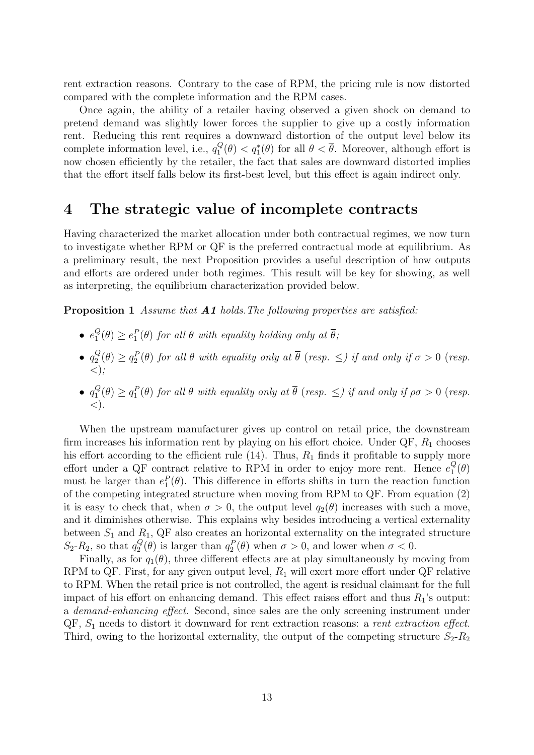rent extraction reasons. Contrary to the case of RPM, the pricing rule is now distorted compared with the complete information and the RPM cases.

Once again, the ability of a retailer having observed a given shock on demand to pretend demand was slightly lower forces the supplier to give up a costly information rent. Reducing this rent requires a downward distortion of the output level below its complete information level, i.e.,  $q_1^Q$  $\frac{Q}{1}(\theta) < q_1^*(\theta)$  for all  $\theta < \overline{\theta}$ . Moreover, although effort is now chosen efficiently by the retailer, the fact that sales are downward distorted implies that the effort itself falls below its first-best level, but this effect is again indirect only.

### 4 The strategic value of incomplete contracts

Having characterized the market allocation under both contractual regimes, we now turn to investigate whether RPM or QF is the preferred contractual mode at equilibrium. As a preliminary result, the next Proposition provides a useful description of how outputs and efforts are ordered under both regimes. This result will be key for showing, as well as interpreting, the equilibrium characterization provided below.

Proposition 1 Assume that **A1** holds. The following properties are satisfied:

- $\bullet$   $e_1^Q$  $\mathcal{L}_1^Q(\theta) \geq e_1^P(\theta)$  for all  $\theta$  with equality holding only at  $\overline{\theta}$ ;
- $\bullet$   $q_2^Q$  $\mathcal{Q}_2^Q(\theta) \geq q_2^P(\theta)$  for all  $\theta$  with equality only at  $\overline{\theta}$  (resp.  $\leq$ ) if and only if  $\sigma > 0$  (resp.  $\langle \rangle$ ;
- $\bullet$   $q_1^Q$  $\mathcal{L}_1^Q(\theta) \geq q_1^P(\theta)$  for all  $\theta$  with equality only at  $\overline{\theta}$  (resp.  $\leq$ ) if and only if  $\rho\sigma > 0$  (resp.  $\langle$ .

When the upstream manufacturer gives up control on retail price, the downstream firm increases his information rent by playing on his effort choice. Under  $\mathbb{Q}F$ ,  $R_1$  chooses his effort according to the efficient rule  $(14)$ . Thus,  $R_1$  finds it profitable to supply more effort under a QF contract relative to RPM in order to enjoy more rent. Hence  $e_1^Q$  $\frac{Q}{1}(\theta)$ must be larger than  $e_1^P(\theta)$ . This difference in efforts shifts in turn the reaction function of the competing integrated structure when moving from RPM to QF. From equation (2) it is easy to check that, when  $\sigma > 0$ , the output level  $q_2(\theta)$  increases with such a move, and it diminishes otherwise. This explains why besides introducing a vertical externality between  $S_1$  and  $R_1$ , QF also creates an horizontal externality on the integrated structure  $S_2$ - $R_2$ , so that  $q_2^Q$  $Q_2^Q(\theta)$  is larger than  $q_2^P(\theta)$  when  $\sigma > 0$ , and lower when  $\sigma < 0$ .

Finally, as for  $q_1(\theta)$ , three different effects are at play simultaneously by moving from RPM to QF. First, for any given output level,  $R_1$  will exert more effort under QF relative to RPM. When the retail price is not controlled, the agent is residual claimant for the full impact of his effort on enhancing demand. This effect raises effort and thus  $R_1$ 's output: a demand-enhancing effect. Second, since sales are the only screening instrument under  $QF, S<sub>1</sub>$  needs to distort it downward for rent extraction reasons: a *rent extraction effect*. Third, owing to the horizontal externality, the output of the competing structure  $S_2-R_2$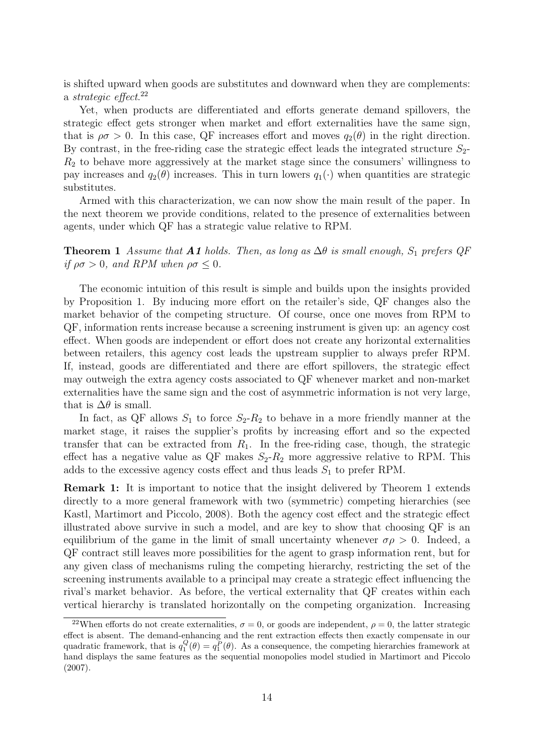is shifted upward when goods are substitutes and downward when they are complements: a *strategic* effect.<sup>22</sup>

Yet, when products are differentiated and efforts generate demand spillovers, the strategic effect gets stronger when market and effort externalities have the same sign, that is  $\rho \sigma > 0$ . In this case, QF increases effort and moves  $q_2(\theta)$  in the right direction. By contrast, in the free-riding case the strategic effect leads the integrated structure  $S_2$ - $R<sub>2</sub>$  to behave more aggressively at the market stage since the consumers' willingness to pay increases and  $q_2(\theta)$  increases. This in turn lowers  $q_1(\cdot)$  when quantities are strategic substitutes.

Armed with this characterization, we can now show the main result of the paper. In the next theorem we provide conditions, related to the presence of externalities between agents, under which QF has a strategic value relative to RPM.

**Theorem 1** Assume that **A1** holds. Then, as long as  $\Delta\theta$  is small enough,  $S_1$  prefers QF if  $\rho\sigma > 0$ , and RPM when  $\rho\sigma \leq 0$ .

The economic intuition of this result is simple and builds upon the insights provided by Proposition 1. By inducing more effort on the retailer's side, QF changes also the market behavior of the competing structure. Of course, once one moves from RPM to QF, information rents increase because a screening instrument is given up: an agency cost effect. When goods are independent or effort does not create any horizontal externalities between retailers, this agency cost leads the upstream supplier to always prefer RPM. If, instead, goods are differentiated and there are effort spillovers, the strategic effect may outweigh the extra agency costs associated to QF whenever market and non-market externalities have the same sign and the cost of asymmetric information is not very large, that is  $\Delta\theta$  is small.

In fact, as QF allows  $S_1$  to force  $S_2-R_2$  to behave in a more friendly manner at the market stage, it raises the supplier's profits by increasing effort and so the expected transfer that can be extracted from  $R_1$ . In the free-riding case, though, the strategic effect has a negative value as  $\mathbb{Q}F$  makes  $S_2-R_2$  more aggressive relative to RPM. This adds to the excessive agency costs effect and thus leads  $S_1$  to prefer RPM.

Remark 1: It is important to notice that the insight delivered by Theorem 1 extends directly to a more general framework with two (symmetric) competing hierarchies (see Kastl, Martimort and Piccolo, 2008). Both the agency cost effect and the strategic effect illustrated above survive in such a model, and are key to show that choosing QF is an equilibrium of the game in the limit of small uncertainty whenever  $\sigma \rho > 0$ . Indeed, a QF contract still leaves more possibilities for the agent to grasp information rent, but for any given class of mechanisms ruling the competing hierarchy, restricting the set of the screening instruments available to a principal may create a strategic effect influencing the rival's market behavior. As before, the vertical externality that QF creates within each vertical hierarchy is translated horizontally on the competing organization. Increasing

<sup>&</sup>lt;sup>22</sup>When efforts do not create externalities,  $\sigma = 0$ , or goods are independent,  $\rho = 0$ , the latter strategic effect is absent. The demand-enhancing and the rent extraction effects then exactly compensate in our quadratic framework, that is  $q_1^Q(\theta) = q_1^P(\theta)$ . As a consequence, the competing hierarchies framework at hand displays the same features as the sequential monopolies model studied in Martimort and Piccolo (2007).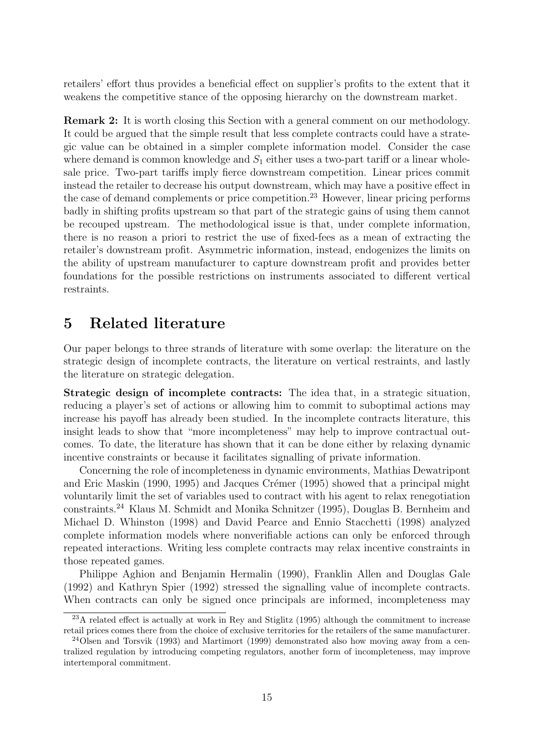retailers' effort thus provides a beneficial effect on supplier's profits to the extent that it weakens the competitive stance of the opposing hierarchy on the downstream market.

Remark 2: It is worth closing this Section with a general comment on our methodology. It could be argued that the simple result that less complete contracts could have a strategic value can be obtained in a simpler complete information model. Consider the case where demand is common knowledge and  $S_1$  either uses a two-part tariff or a linear wholesale price. Two-part tariffs imply fierce downstream competition. Linear prices commit instead the retailer to decrease his output downstream, which may have a positive effect in the case of demand complements or price competition.<sup>23</sup> However, linear pricing performs badly in shifting profits upstream so that part of the strategic gains of using them cannot be recouped upstream. The methodological issue is that, under complete information, there is no reason a priori to restrict the use of fixed-fees as a mean of extracting the retailer's downstream profit. Asymmetric information, instead, endogenizes the limits on the ability of upstream manufacturer to capture downstream profit and provides better foundations for the possible restrictions on instruments associated to different vertical restraints.

### 5 Related literature

Our paper belongs to three strands of literature with some overlap: the literature on the strategic design of incomplete contracts, the literature on vertical restraints, and lastly the literature on strategic delegation.

Strategic design of incomplete contracts: The idea that, in a strategic situation, reducing a player's set of actions or allowing him to commit to suboptimal actions may increase his payoff has already been studied. In the incomplete contracts literature, this insight leads to show that "more incompleteness" may help to improve contractual outcomes. To date, the literature has shown that it can be done either by relaxing dynamic incentive constraints or because it facilitates signalling of private information.

Concerning the role of incompleteness in dynamic environments, Mathias Dewatripont and Eric Maskin (1990, 1995) and Jacques Crémer (1995) showed that a principal might voluntarily limit the set of variables used to contract with his agent to relax renegotiation constraints.<sup>24</sup> Klaus M. Schmidt and Monika Schnitzer (1995), Douglas B. Bernheim and Michael D. Whinston (1998) and David Pearce and Ennio Stacchetti (1998) analyzed complete information models where nonverifiable actions can only be enforced through repeated interactions. Writing less complete contracts may relax incentive constraints in those repeated games.

Philippe Aghion and Benjamin Hermalin (1990), Franklin Allen and Douglas Gale (1992) and Kathryn Spier (1992) stressed the signalling value of incomplete contracts. When contracts can only be signed once principals are informed, incompleteness may

<sup>23</sup>A related effect is actually at work in Rey and Stiglitz (1995) although the commitment to increase retail prices comes there from the choice of exclusive territories for the retailers of the same manufacturer.

<sup>24</sup>Olsen and Torsvik (1993) and Martimort (1999) demonstrated also how moving away from a centralized regulation by introducing competing regulators, another form of incompleteness, may improve intertemporal commitment.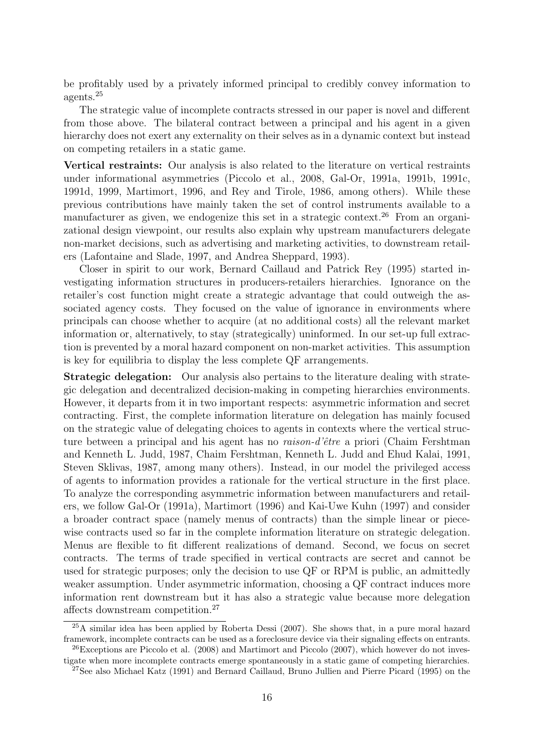be profitably used by a privately informed principal to credibly convey information to agents.<sup>25</sup>

The strategic value of incomplete contracts stressed in our paper is novel and different from those above. The bilateral contract between a principal and his agent in a given hierarchy does not exert any externality on their selves as in a dynamic context but instead on competing retailers in a static game.

Vertical restraints: Our analysis is also related to the literature on vertical restraints under informational asymmetries (Piccolo et al., 2008, Gal-Or, 1991a, 1991b, 1991c, 1991d, 1999, Martimort, 1996, and Rey and Tirole, 1986, among others). While these previous contributions have mainly taken the set of control instruments available to a manufacturer as given, we endogenize this set in a strategic context.<sup>26</sup> From an organizational design viewpoint, our results also explain why upstream manufacturers delegate non-market decisions, such as advertising and marketing activities, to downstream retailers (Lafontaine and Slade, 1997, and Andrea Sheppard, 1993).

Closer in spirit to our work, Bernard Caillaud and Patrick Rey (1995) started investigating information structures in producers-retailers hierarchies. Ignorance on the retailer's cost function might create a strategic advantage that could outweigh the associated agency costs. They focused on the value of ignorance in environments where principals can choose whether to acquire (at no additional costs) all the relevant market information or, alternatively, to stay (strategically) uninformed. In our set-up full extraction is prevented by a moral hazard component on non-market activities. This assumption is key for equilibria to display the less complete QF arrangements.

Strategic delegation: Our analysis also pertains to the literature dealing with strategic delegation and decentralized decision-making in competing hierarchies environments. However, it departs from it in two important respects: asymmetric information and secret contracting. First, the complete information literature on delegation has mainly focused on the strategic value of delegating choices to agents in contexts where the vertical structure between a principal and his agent has no *raison-d'être* a priori (Chaim Fershtman and Kenneth L. Judd, 1987, Chaim Fershtman, Kenneth L. Judd and Ehud Kalai, 1991, Steven Sklivas, 1987, among many others). Instead, in our model the privileged access of agents to information provides a rationale for the vertical structure in the first place. To analyze the corresponding asymmetric information between manufacturers and retailers, we follow Gal-Or (1991a), Martimort (1996) and Kai-Uwe Kuhn (1997) and consider a broader contract space (namely menus of contracts) than the simple linear or piecewise contracts used so far in the complete information literature on strategic delegation. Menus are flexible to fit different realizations of demand. Second, we focus on secret contracts. The terms of trade specified in vertical contracts are secret and cannot be used for strategic purposes; only the decision to use QF or RPM is public, an admittedly weaker assumption. Under asymmetric information, choosing a QF contract induces more information rent downstream but it has also a strategic value because more delegation affects downstream competition.<sup>27</sup>

<sup>25</sup>A similar idea has been applied by Roberta Dessi (2007). She shows that, in a pure moral hazard framework, incomplete contracts can be used as a foreclosure device via their signaling effects on entrants.  $^{26}$ Exceptions are Piccolo et al. (2008) and Martimort and Piccolo (2007), which however do not inves-

tigate when more incomplete contracts emerge spontaneously in a static game of competing hierarchies. <sup>27</sup>See also Michael Katz (1991) and Bernard Caillaud, Bruno Jullien and Pierre Picard (1995) on the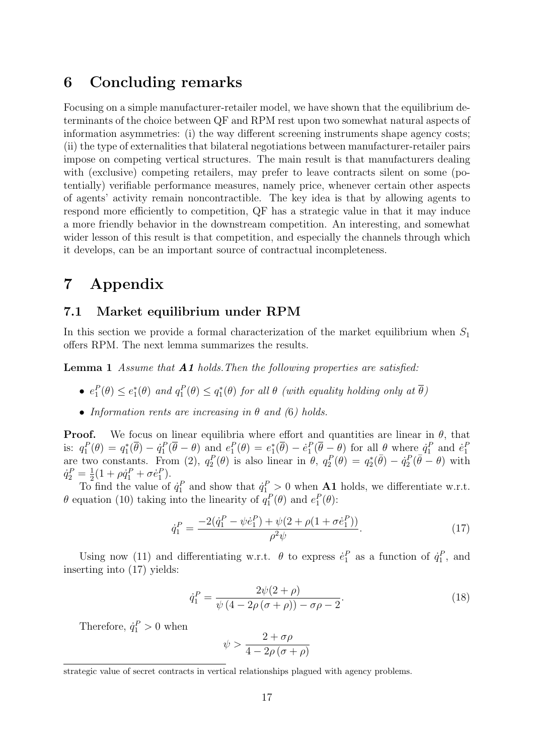### 6 Concluding remarks

Focusing on a simple manufacturer-retailer model, we have shown that the equilibrium determinants of the choice between QF and RPM rest upon two somewhat natural aspects of information asymmetries: (i) the way different screening instruments shape agency costs; (ii) the type of externalities that bilateral negotiations between manufacturer-retailer pairs impose on competing vertical structures. The main result is that manufacturers dealing with (exclusive) competing retailers, may prefer to leave contracts silent on some (potentially) verifiable performance measures, namely price, whenever certain other aspects of agents' activity remain noncontractible. The key idea is that by allowing agents to respond more efficiently to competition, QF has a strategic value in that it may induce a more friendly behavior in the downstream competition. An interesting, and somewhat wider lesson of this result is that competition, and especially the channels through which it develops, can be an important source of contractual incompleteness.

## 7 Appendix

#### 7.1 Market equilibrium under RPM

In this section we provide a formal characterization of the market equilibrium when  $S_1$ offers RPM. The next lemma summarizes the results.

Lemma 1 Assume that **A1** holds. Then the following properties are satisfied:

- $e_1^P(\theta) \leq e_1^*(\theta)$  and  $q_1^P(\theta) \leq q_1^*(\theta)$  for all  $\theta$  (with equality holding only at  $\overline{\theta}$ )
- Information rents are increasing in  $\theta$  and (6) holds.

**Proof.** We focus on linear equilibria where effort and quantities are linear in  $\theta$ , that is:  $q_1^P(\theta) = q_1^*(\overline{\theta}) - \dot{q}_1^P(\overline{\theta} - \theta)$  and  $e_1^P(\theta) = e_1^*(\overline{\theta}) - \dot{e}_1^P(\overline{\theta} - \theta)$  for all  $\theta$  where  $\dot{q}_1^P$  and  $\dot{e}_1^P$ are two constants. From (2),  $q_2^P(\theta)$  is also linear in  $\theta$ ,  $q_2^P(\theta) = q_2^*(\bar{\theta}) - \dot{q}_2^P(\bar{\theta} - \theta)$  with  $\dot{q}_2^P = \frac{1}{2}(1 + \rho \dot{q}_1^P + \sigma \dot{e}_1^P).$ 

 $\frac{1}{2}(1 + \frac{1}{2})$  To find the value of  $\dot{q}_1^P$  and show that  $\dot{q}_1^P > 0$  when **A1** holds, we differentiate w.r.t.  $\theta$  equation (10) taking into the linearity of  $q_1^P(\theta)$  and  $e_1^P(\theta)$ :

$$
\dot{q}_1^P = \frac{-2(\dot{q}_1^P - \psi \dot{e}_1^P) + \psi(2 + \rho(1 + \sigma \dot{e}_1^P))}{\rho^2 \psi}.\tag{17}
$$

Using now (11) and differentiating w.r.t.  $\theta$  to express  $\dot{e}_1^P$  as a function of  $\dot{q}_1^P$ , and inserting into (17) yields:

$$
\dot{q}_1^P = \frac{2\psi(2+\rho)}{\psi(4-2\rho(\sigma+\rho)) - \sigma\rho - 2}.
$$
\n(18)

Therefore,  $\dot{q}_1^P > 0$  when

$$
\psi > \frac{2+\sigma\rho}{4-2\rho\left(\sigma+\rho\right)}
$$

strategic value of secret contracts in vertical relationships plagued with agency problems.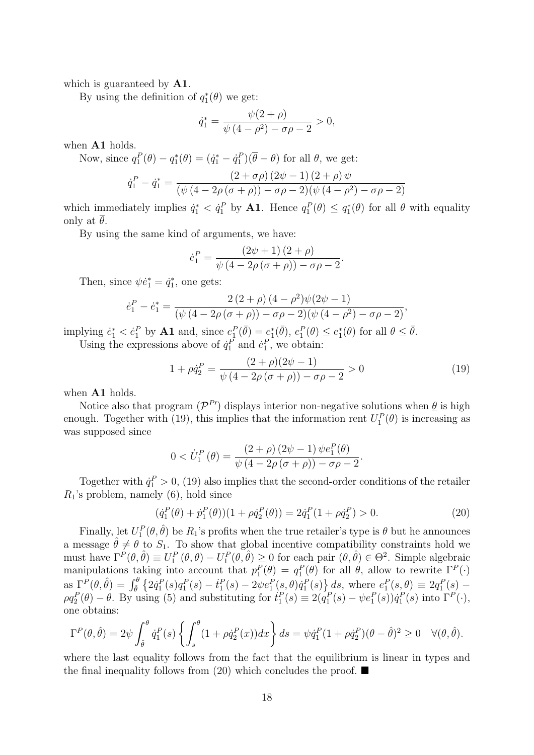which is guaranteed by **A1**.

By using the definition of  $q_1^*(\theta)$  we get:

$$
\dot{q}_1^* = \frac{\psi(2+\rho)}{\psi(4-\rho^2) - \sigma\rho - 2} > 0,
$$

when A1 holds.

Now, since  $q_1^P(\theta) - q_1^*(\theta) = (q_1^* - \dot{q}_1^P)(\overline{\theta} - \theta)$  for all  $\theta$ , we get:

$$
\dot{q}_1^P - \dot{q}_1^* = \frac{(2+\sigma\rho)(2\psi-1)(2+\rho)\psi}{(\psi(4-2\rho(\sigma+\rho))-\sigma\rho-2)(\psi(4-\rho^2)-\sigma\rho-2)}
$$

which immediately implies  $\dot{q}_1^* < \dot{q}_1^P$  by **A1**. Hence  $q_1^P(\theta) \leq q_1^*(\theta)$  for all  $\theta$  with equality only at  $\theta$ .

By using the same kind of arguments, we have:

$$
\dot{e}_1^P = \frac{(2\psi + 1)(2 + \rho)}{\psi (4 - 2\rho (\sigma + \rho)) - \sigma \rho - 2}
$$

Then, since  $\psi \dot{e}_1^* = \dot{q}_1^*$ , one gets:

$$
\dot{e}_1^P - \dot{e}_1^* = \frac{2(2+\rho)(4-\rho^2)\psi(2\psi - 1)}{(\psi(4-2\rho(\sigma+\rho)) - \sigma\rho - 2)(\psi(4-\rho^2) - \sigma\rho - 2)},
$$

implying  $\dot{e}_1^* < \dot{e}_1^P$  by **A1** and, since  $e_1^P(\bar{\theta}) = e_1^*(\bar{\theta}), e_1^P(\theta) \le e_1^*(\theta)$  for all  $\theta \le \bar{\theta}$ . Using the expressions above of  $\dot{q}_1^P$  and  $\dot{e}_1^P$ , we obtain:

$$
1 + \rho \dot{q}_2^P = \frac{(2+\rho)(2\psi - 1)}{\psi(4 - 2\rho(\sigma + \rho)) - \sigma\rho - 2} > 0
$$
\n(19)

.

when A1 holds.

Notice also that program  $(\mathcal{P}^{P\prime})$  displays interior non-negative solutions when  $\underline{\theta}$  is high enough. Together with (19), this implies that the information rent  $U_1^P(\theta)$  is increasing as was supposed since

$$
0 < \dot{U}_1^P(\theta) = \frac{(2+\rho)(2\psi-1)\psi e_1^P(\theta)}{\psi(4-2\rho(\sigma+\rho))-\sigma\rho-2}.
$$

Together with  $\dot{q}_1^P > 0$ , (19) also implies that the second-order conditions of the retailer  $R_1$ 's problem, namely (6), hold since

$$
(\dot{q}_1^P(\theta) + \dot{p}_1^P(\theta))(1 + \rho \dot{q}_2^P(\theta)) = 2\dot{q}_1^P(1 + \rho \dot{q}_2^P) > 0.
$$
 (20)

Finally, let  $U_1^P(\theta, \hat{\theta})$  be  $R_1$ 's profits when the true retailer's type is  $\theta$  but he announces a message  $\hat{\theta} \neq \theta$  to  $S_1$ . To show that global incentive compatibility constraints hold we must have  $\Gamma^{P}(\theta, \hat{\theta}) \equiv U_1^P(\theta, \theta) - U_1^P(\theta, \hat{\theta}) \ge 0$  for each pair  $(\theta, \hat{\theta}) \in \Theta^2$ . Simple algebraic manipulations taking into account that  $p_1^P(\theta) = q_1^P(\theta)$  for all  $\theta$ , allow to rewrite  $\Gamma^P(\cdot)$ as  $\Gamma^{P}(\theta, \hat{\theta}) = \int_{\hat{\theta}}^{\theta} \{2\dot{q}_{1}^{P}(s)q_{1}^{P}(s) - \dot{t}_{1}^{P}(s) - 2\psi e_{1}^{P}(s,\theta)\dot{q}_{1}^{P}(s)\} ds$ , where  $e_{1}^{P}(s,\theta) \equiv 2q_{1}^{P}(s) \rho q_2^P(\theta) - \theta$ . By using (5) and substituting for  $\dot{t}_1^P(s) \equiv 2(\dot{q}_1^P(s) - \psi e_1^P(s))\dot{q}_1^P(s)$  into  $\Gamma^P(\cdot)$ , one obtains:

$$
\Gamma^{P}(\theta,\hat{\theta}) = 2\psi \int_{\hat{\theta}}^{\theta} \dot{q}_{1}^{P}(s) \left\{ \int_{s}^{\theta} (1 + \rho \dot{q}_{2}^{P}(x)) dx \right\} ds = \psi \dot{q}_{1}^{P}(1 + \rho \dot{q}_{2}^{P})(\theta - \hat{\theta})^{2} \ge 0 \quad \forall (\theta,\hat{\theta}).
$$

where the last equality follows from the fact that the equilibrium is linear in types and the final inequality follows from (20) which concludes the proof.  $\blacksquare$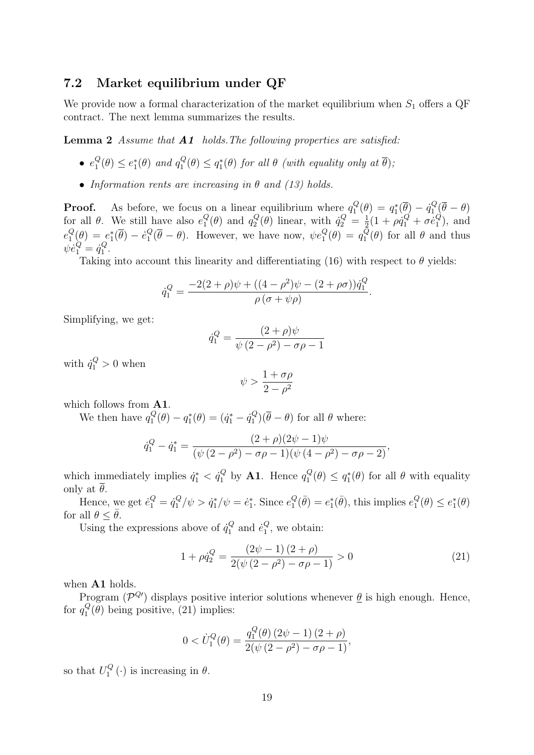#### 7.2 Market equilibrium under QF

We provide now a formal characterization of the market equilibrium when  $S_1$  offers a QF contract. The next lemma summarizes the results.

Lemma 2 Assume that **A1** holds. The following properties are satisfied:

- $\bullet$   $e_1^Q$  $_1^Q(\theta) \leq e_1^*(\theta)$  and  $q_1^Q$  $\mathcal{L}_1^Q(\theta) \leq q_1^*(\theta)$  for all  $\theta$  (with equality only at  $\overline{\theta}$ );
- Information rents are increasing in  $\theta$  and (13) holds.

**Proof.** As before, we focus on a linear equilibrium where  $q_1^Q$  $q_1^Q(\theta) \, = \, q_1^*(\overline{\theta}) \, - \, \dot{q}_1^Q$  $\theta_1^Q(\theta-\theta)$ for all  $\theta$ . We still have also  $e_1^Q$  $_1^Q(\theta)$  and  $q_2^Q$  $q_2^Q(\theta)$  linear, with  $\dot{q}_2^Q = \frac{1}{2}$  $\frac{1}{2}(1+\rho\dot{q}_1^Q+\sigma\dot{e}_1^Q)$  $\binom{Q}{1}$ , and  $e_1^Q$  $\theta_1^Q(\theta) = e_1^*(\overline{\theta}) - \dot{e}_1^Q$  $_1^Q(\overline{\theta}-\theta)$ . However, we have now,  $\psi e_1^Q(\theta) = q_1^Q$  $\int_1^Q(\theta)$  for all  $\theta$  and thus  $\psi \dot{e}^Q_1 = \dot{q}^Q_1$  $\frac{Q}{1}$ .

Taking into account this linearity and differentiating (16) with respect to  $\theta$  yields:

$$
\dot{q}_1^Q = \frac{-2(2+\rho)\psi + ((4-\rho^2)\psi - (2+\rho\sigma))\dot{q}_1^Q}{\rho(\sigma+\psi\rho)}.
$$

Simplifying, we get:

$$
\dot{q}_1^Q = \frac{(2+\rho)\psi}{\psi(2-\rho^2) - \sigma\rho - 1}
$$

with  $\dot{q}_1^Q > 0$  when

$$
\psi > \frac{1 + \sigma \rho}{2 - \rho^2}
$$

which follows from **A1**.

We then have  $q_1^Q$  $q_1^Q(\theta) - q_1^*(\theta) = (\dot{q}_1^* - \dot{q}_1^Q)$  $\binom{Q}{1}(\theta - \theta)$  for all  $\theta$  where:

$$
\dot{q}_1^Q - \dot{q}_1^* = \frac{(2+\rho)(2\psi - 1)\psi}{(\psi(2-\rho^2) - \sigma\rho - 1)(\psi(4-\rho^2) - \sigma\rho - 2)},
$$

which immediately implies  $\dot{q}_1^* < \dot{q}_1^Q$  by **A1**. Hence  $q_1^Q$  $q_1^Q(\theta) \leq q_1^*(\theta)$  for all  $\theta$  with equality only at  $\overline{\theta}$ .

Hence, we get  $\dot{e}_1^Q = \dot{q}_1^Q$  $a_1^Q/\psi > \dot{q}_1^*/\psi = \dot{e}_1^*$ . Since  $e_1^Q$  $_1^Q(\bar{\theta}) = e_1^*(\bar{\theta}),$  this implies  $e_1^Q$  $e_1^Q(\theta) \leq e_1^*(\theta)$ for all  $\theta < \bar{\theta}$ .

Using the expressions above of  $\dot{q}_1^Q$  $i_1^Q$  and  $\dot{e}_1^Q$  $\frac{Q}{1}$ , we obtain:

$$
1 + \rho \dot{q}_2^Q = \frac{(2\psi - 1)(2 + \rho)}{2(\psi(2 - \rho^2) - \sigma \rho - 1)} > 0
$$
\n(21)

when A1 holds.

Program ( $\mathcal{P}^{Q}$ ) displays positive interior solutions whenever  $\underline{\theta}$  is high enough. Hence, for  $q_1^Q$  $_{1}^{\mathcal{Q}}(\theta)$  being positive, (21) implies:

$$
0 < \dot{U}_1^Q(\theta) = \frac{q_1^Q(\theta) (2\psi - 1) (2 + \rho)}{2(\psi (2 - \rho^2) - \sigma \rho - 1)},
$$

so that  $U_1^Q$  $T_1^Q(\cdot)$  is increasing in  $\theta$ .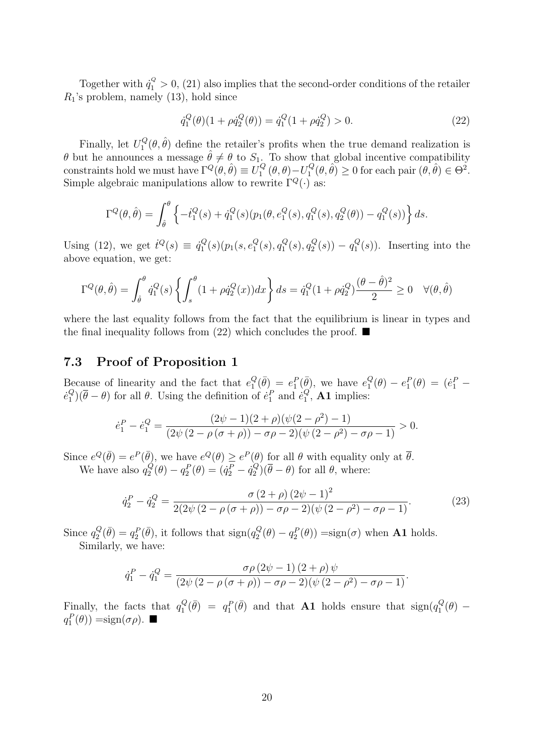Together with  $\dot{q}_1^Q > 0$ , (21) also implies that the second-order conditions of the retailer  $R_1$ 's problem, namely (13), hold since

$$
\dot{q}_1^Q(\theta)(1+\rho \dot{q}_2^Q(\theta)) = \dot{q}_1^Q(1+\rho \dot{q}_2^Q) > 0.
$$
\n(22)

Finally, let  $U_1^Q$  $T_1^Q(\theta, \hat{\theta})$  define the retailer's profits when the true demand realization is  $\theta$  but he announces a message  $\hat{\theta} \neq \theta$  to  $S_1$ . To show that global incentive compatibility constraints hold we must have  $\Gamma^Q(\theta, \hat{\theta}) \equiv U_1^Q$  $U_1^Q(\theta, \theta) - U_1^Q$  $\widehat{f}_1^Q(\theta, \widehat{\theta}) \ge 0$  for each pair  $(\widehat{\theta}, \widehat{\theta}) \in \Theta^2$ . Simple algebraic manipulations allow to rewrite  $\Gamma^Q(\cdot)$  as:

$$
\Gamma^{Q}(\theta, \hat{\theta}) = \int_{\hat{\theta}}^{\theta} \left\{ -\dot{t}_{1}^{Q}(s) + \dot{q}_{1}^{Q}(s)(p_{1}(\theta, e_{1}^{Q}(s), q_{1}^{Q}(s), q_{2}^{Q}(\theta)) - q_{1}^{Q}(s)) \right\} ds.
$$

Using (12), we get  $\dot{t}^Q(s) \equiv \dot{q}_1^Q$  $q_{1}^{Q}(s)(p_{1}(s,e_{1}^{Q}% ,\theta_{1}^{Q}(s))p_{2}(s,e_{1}^{Q}(\theta_{1}^{Q}(s),e_{1}^{Q}(\theta_{1}^{Q}(s),e_{1}^{Q}(\theta_{1}^{Q}(s))))$  $_{1}^{Q}(s), q_{1}^{Q}$  $q_{1}^{Q}(s), q_{2}^{Q}$  $q_2^Q(s)$ ) –  $q_1^Q$  $\binom{Q}{1}(s)$ . Inserting into the above equation, we get:

$$
\Gamma^{Q}(\theta, \hat{\theta}) = \int_{\hat{\theta}}^{\theta} \dot{q}_{1}^{Q}(s) \left\{ \int_{s}^{\theta} (1 + \rho \dot{q}_{2}^{Q}(x)) dx \right\} ds = \dot{q}_{1}^{Q} (1 + \rho \dot{q}_{2}^{Q}) \frac{(\theta - \hat{\theta})^{2}}{2} \ge 0 \quad \forall (\theta, \hat{\theta})
$$

where the last equality follows from the fact that the equilibrium is linear in types and the final inequality follows from (22) which concludes the proof.  $\blacksquare$ 

#### 7.3 Proof of Proposition 1

Because of linearity and the fact that  $e_1^Q$  $\mathcal{L}_1^Q(\bar{\theta}) = e_1^P(\bar{\theta}),$  we have  $e_1^Q$  $e_1^Q(\theta) - e_1^P(\theta) = (e_1^P \dot{e}_1^Q$  $\left(Q_1^Q\right)(\bar{\theta}-\theta)$  for all  $\theta$ . Using the definition of  $\dot{e}_1^P$  and  $\dot{e}_1^Q$  $_1^Q$ , **A1** implies:

$$
\dot{e}_1^P - \dot{e}_1^Q = \frac{(2\psi - 1)(2 + \rho)(\psi(2 - \rho^2) - 1)}{(2\psi(2 - \rho(\sigma + \rho)) - \sigma\rho - 2)(\psi(2 - \rho^2) - \sigma\rho - 1)} > 0.
$$

Since  $e^{Q}(\bar{\theta}) = e^{P}(\bar{\theta})$ , we have  $e^{Q}(\theta) \geq e^{P}(\theta)$  for all  $\theta$  with equality only at  $\bar{\theta}$ . We have also  $q_2^Q$  $q_2^Q(\theta)-q_2^P(\theta)= (\dot q_2^P - \dot q_2^Q)$  $\mathcal{L}_2^{(Q)}(\theta - \theta)$  for all  $\theta$ , where:

$$
\dot{q}_2^P - \dot{q}_2^Q = \frac{\sigma (2 + \rho) (2\psi - 1)^2}{2(2\psi (2 - \rho(\sigma + \rho)) - \sigma \rho - 2)(\psi (2 - \rho^2) - \sigma \rho - 1)}.
$$
(23)

Since  $q_2^Q$  $Q_2^Q(\bar{\theta}) = q_2^P(\bar{\theta}),$  it follows that  $\text{sign}(q_2^Q)$  $q_2^Q(\theta) - q_2^P(\theta)$  =sign( $\sigma$ ) when **A1** holds. Similarly, we have:

$$
\dot{q}_1^P - \dot{q}_1^Q = \frac{\sigma \rho (2\psi - 1) (2 + \rho) \psi}{(2\psi (2 - \rho (\sigma + \rho)) - \sigma \rho - 2)(\psi (2 - \rho^2) - \sigma \rho - 1)}.
$$

Finally, the facts that  $q_1^Q$  $\mathcal{L}_{1}^{Q}(\bar{\theta}) = q_{1}^{P}(\bar{\theta})$  and that **A1** holds ensure that  $\text{sign}(q_{1}^{Q})$  $C_1^Q(\theta)$  $q_1^P(\theta)$  =sign( $\sigma \rho$ ).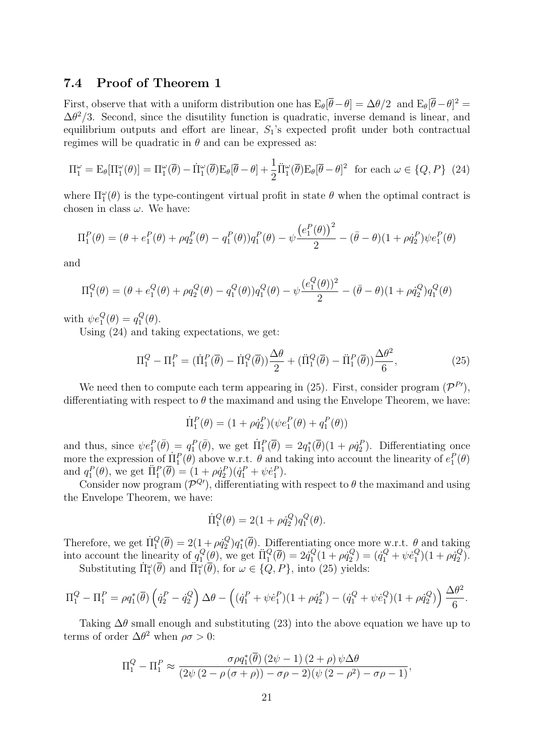#### 7.4 Proof of Theorem 1

First, observe that with a uniform distribution one has  $E_{\theta}[\bar{\theta}-\theta] = \Delta\theta/2$  and  $E_{\theta}[\bar{\theta}-\theta]^2 =$  $\Delta\theta^2/3$ . Second, since the disutility function is quadratic, inverse demand is linear, and equilibrium outputs and effort are linear,  $S_1$ 's expected profit under both contractual regimes will be quadratic in  $\theta$  and can be expressed as:

$$
\Pi_1^{\omega} = \mathcal{E}_{\theta}[\Pi_1^{\omega}(\theta)] = \Pi_1^{\omega}(\overline{\theta}) - \dot{\Pi}_1^{\omega}(\overline{\theta})\mathcal{E}_{\theta}[\overline{\theta} - \theta] + \frac{1}{2}\ddot{\Pi}_1^{\omega}(\overline{\theta})\mathcal{E}_{\theta}[\overline{\theta} - \theta]^2 \text{ for each } \omega \in \{Q, P\} \tag{24}
$$

where  $\Pi_1^{\omega}(\theta)$  is the type-contingent virtual profit in state  $\theta$  when the optimal contract is chosen in class  $\omega$ . We have:

$$
\Pi_1^P(\theta) = (\theta + e_1^P(\theta) + \rho q_2^P(\theta) - q_1^P(\theta))q_1^P(\theta) - \psi \frac{(e_1^P(\theta))^2}{2} - (\bar{\theta} - \theta)(1 + \rho \dot{q}_2^P)\psi e_1^P(\theta)
$$

and

$$
\Pi_1^Q(\theta) = (\theta + e_1^Q(\theta) + \rho q_2^Q(\theta) - q_1^Q(\theta))q_1^Q(\theta) - \psi \frac{(e_1^Q(\theta))^2}{2} - (\bar{\theta} - \theta)(1 + \rho q_2^Q)q_1^Q(\theta)
$$

with  $\psi e_1^Q(\theta) = q_1^Q$  $\frac{Q}{1}(\theta).$ 

Using (24) and taking expectations, we get:

$$
\Pi_1^Q - \Pi_1^P = (\dot{\Pi}_1^P(\overline{\theta}) - \dot{\Pi}_1^Q(\overline{\theta})) \frac{\Delta \theta}{2} + (\ddot{\Pi}_1^Q(\overline{\theta}) - \ddot{\Pi}_1^P(\overline{\theta})) \frac{\Delta \theta^2}{6},\tag{25}
$$

We need then to compute each term appearing in (25). First, consider program  $(\mathcal{P}^{P'}),$ differentiating with respect to  $\theta$  the maximand and using the Envelope Theorem, we have:

$$
\Pi_1^P(\theta) = (1 + \rho \dot{q}_2^P)(\psi e_1^P(\theta) + q_1^P(\theta))
$$

and thus, since  $\psi e_1^P(\bar{\theta}) = q_1^P(\bar{\theta})$ , we get  $\Pi_1^P(\bar{\theta}) = 2q_1^*(\bar{\theta})(1 + \rho q_2^P)$ . Differentiating once more the expression of  $\Pi_1^P(\theta)$  above w.r.t.  $\theta$  and taking into account the linearity of  $e_1^P(\theta)$ and  $q_1^P(\theta)$ , we get  $\Pi_1^P(\overline{\theta}) = (1 + \rho \dot{q}_2^P)(\dot{q}_1^P + \psi \dot{e}_1^P)$ .

Consider now program  $(\mathcal{P}^{Q\prime})$ , differentiating with respect to  $\theta$  the maximand and using the Envelope Theorem, we have:

$$
\dot{\Pi}_1^Q(\theta) = 2(1 + \rho \dot{q}_2^Q)q_1^Q(\theta).
$$

Therefore, we get  $\Pi_1^Q(\overline{\theta}) = 2(1 + \rho \dot{q}_2^Q)$  $\mathcal{L}_2^Q$ ) $q_1^*(\overline{\theta})$ . Differentiating once more w.r.t.  $\theta$  and taking into account the linearity of  $q_1^Q$  $I_1^Q(\theta)$ , we get  $\Pi_1^Q(\overline{\theta}) = 2\dot{q}_1^Q$  $\rho_{1}^{Q}(1+\rho\dot{q}_{2}^{Q}% )^{2}$  $q_2^Q$ ) =  $(\dot{q}_1^Q + \psi \dot{e}_1^Q)$  $_1^Q$  $(1 + \rho \dot{q}_2^Q)$  $\binom{Q}{2}$ . Substituting  $\Pi_{1}^{\omega}(\overline{\theta})$  and  $\Pi_{1}^{\omega}(\overline{\theta})$ , for  $\omega \in \{Q, P\}$ , into (25) yields:

$$
\Pi_1^Q - \Pi_1^P = \rho q_1^*(\overline{\theta}) \left( \dot{q}_2^P - \dot{q}_2^Q \right) \Delta \theta - \left( (\dot{q}_1^P + \psi \dot{e}_1^P)(1 + \rho \dot{q}_2^P) - (\dot{q}_1^Q + \psi \dot{e}_1^Q)(1 + \rho \dot{q}_2^Q) \right) \frac{\Delta \theta^2}{6}.
$$

Taking  $\Delta\theta$  small enough and substituting (23) into the above equation we have up to terms of order  $\Delta\theta^2$  when  $\rho\sigma > 0$ :

$$
\Pi_1^Q - \Pi_1^P \approx \frac{\sigma \rho q_1^*(\overline{\theta}) (2\psi - 1) (2 + \rho) \psi \Delta \theta}{(2\psi (2 - \rho (\sigma + \rho)) - \sigma \rho - 2)(\psi (2 - \rho^2) - \sigma \rho - 1)},
$$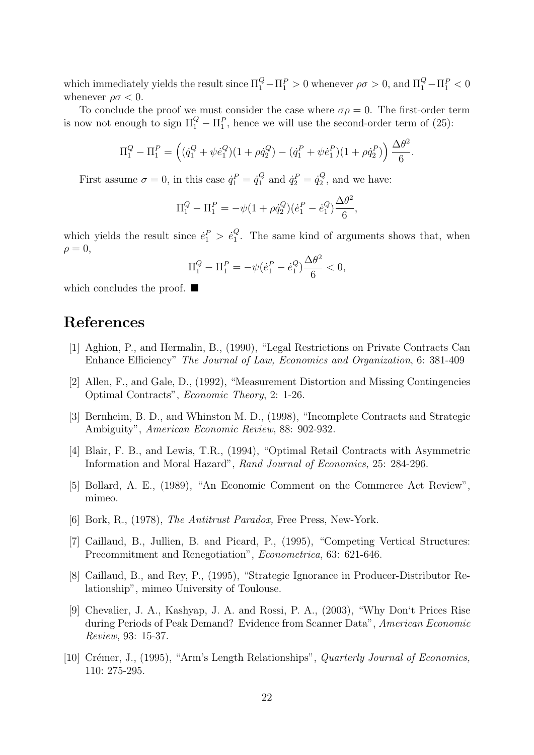which immediately yields the result since  $\Pi_1^Q - \Pi_1^P > 0$  whenever  $\rho \sigma > 0$ , and  $\Pi_1^Q - \Pi_1^P < 0$ whenever  $\rho \sigma < 0$ .

To conclude the proof we must consider the case where  $\sigma \rho = 0$ . The first-order term is now not enough to sign  $\Pi_1^Q - \Pi_1^P$ , hence we will use the second-order term of (25):

$$
\Pi_1^Q - \Pi_1^P = \left( (\dot{q}_1^Q + \psi \dot{e}_1^Q)(1 + \rho \dot{q}_2^Q) - (\dot{q}_1^P + \psi \dot{e}_1^P)(1 + \rho \dot{q}_2^P) \right) \frac{\Delta \theta^2}{6}.
$$

First assume  $\sigma = 0$ , in this case  $\dot{q}_1^P = \dot{q}_1^Q$  $q_1^Q$  and  $\dot{q}_2^P = \dot{q}_2^Q$  $v_2^Q$ , and we have:

$$
\Pi_1^Q - \Pi_1^P = -\psi (1 + \rho \dot{q}_2^Q)(\dot{e}_1^P - \dot{e}_1^Q) \frac{\Delta \theta^2}{6},
$$

which yields the result since  $\dot{e}_1^P > \dot{e}_1^Q$  $\frac{Q}{1}$ . The same kind of arguments shows that, when  $\rho = 0$ ,

$$
\Pi_1^Q - \Pi_1^P = -\psi(\dot{e}_1^P - \dot{e}_1^Q) \frac{\Delta\theta^2}{6} < 0,
$$

which concludes the proof.  $\blacksquare$ 

### References

- [1] Aghion, P., and Hermalin, B., (1990), "Legal Restrictions on Private Contracts Can Enhance Efficiency" The Journal of Law, Economics and Organization, 6: 381-409
- [2] Allen, F., and Gale, D., (1992), "Measurement Distortion and Missing Contingencies Optimal Contracts", Economic Theory, 2: 1-26.
- [3] Bernheim, B. D., and Whinston M. D., (1998), "Incomplete Contracts and Strategic Ambiguity", American Economic Review, 88: 902-932.
- [4] Blair, F. B., and Lewis, T.R., (1994), "Optimal Retail Contracts with Asymmetric Information and Moral Hazard", Rand Journal of Economics, 25: 284-296.
- [5] Bollard, A. E., (1989), "An Economic Comment on the Commerce Act Review", mimeo.
- [6] Bork, R., (1978), The Antitrust Paradox, Free Press, New-York.
- [7] Caillaud, B., Jullien, B. and Picard, P., (1995), "Competing Vertical Structures: Precommitment and Renegotiation", Econometrica, 63: 621-646.
- [8] Caillaud, B., and Rey, P., (1995), "Strategic Ignorance in Producer-Distributor Relationship", mimeo University of Toulouse.
- [9] Chevalier, J. A., Kashyap, J. A. and Rossi, P. A., (2003), "Why Don't Prices Rise during Periods of Peak Demand? Evidence from Scanner Data", American Economic Review, 93: 15-37.
- [10] Crémer, J., (1995), "Arm's Length Relationships", Quarterly Journal of Economics, 110: 275-295.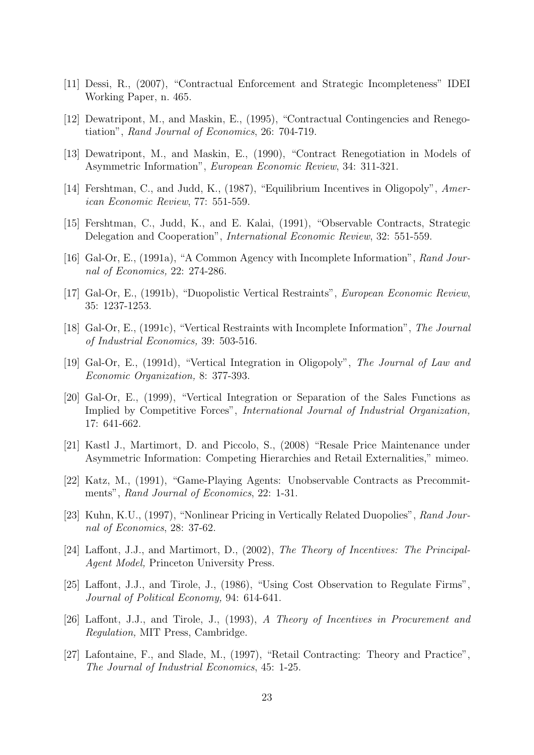- [11] Dessi, R., (2007), "Contractual Enforcement and Strategic Incompleteness" IDEI Working Paper, n. 465.
- [12] Dewatripont, M., and Maskin, E., (1995), "Contractual Contingencies and Renegotiation", Rand Journal of Economics, 26: 704-719.
- [13] Dewatripont, M., and Maskin, E., (1990), "Contract Renegotiation in Models of Asymmetric Information", European Economic Review, 34: 311-321.
- [14] Fershtman, C., and Judd, K., (1987), "Equilibrium Incentives in Oligopoly", American Economic Review, 77: 551-559.
- [15] Fershtman, C., Judd, K., and E. Kalai, (1991), "Observable Contracts, Strategic Delegation and Cooperation", International Economic Review, 32: 551-559.
- [16] Gal-Or, E., (1991a), "A Common Agency with Incomplete Information", Rand Journal of Economics, 22: 274-286.
- [17] Gal-Or, E., (1991b), "Duopolistic Vertical Restraints", European Economic Review, 35: 1237-1253.
- [18] Gal-Or, E., (1991c), "Vertical Restraints with Incomplete Information", The Journal of Industrial Economics, 39: 503-516.
- [19] Gal-Or, E., (1991d), "Vertical Integration in Oligopoly", The Journal of Law and Economic Organization, 8: 377-393.
- [20] Gal-Or, E., (1999), "Vertical Integration or Separation of the Sales Functions as Implied by Competitive Forces", International Journal of Industrial Organization, 17: 641-662.
- [21] Kastl J., Martimort, D. and Piccolo, S., (2008) "Resale Price Maintenance under Asymmetric Information: Competing Hierarchies and Retail Externalities," mimeo.
- [22] Katz, M., (1991), "Game-Playing Agents: Unobservable Contracts as Precommitments", Rand Journal of Economics, 22: 1-31.
- [23] Kuhn, K.U., (1997), "Nonlinear Pricing in Vertically Related Duopolies", Rand Journal of Economics, 28: 37-62.
- [24] Laffont, J.J., and Martimort, D., (2002), The Theory of Incentives: The Principal-Agent Model, Princeton University Press.
- [25] Laffont, J.J., and Tirole, J., (1986), "Using Cost Observation to Regulate Firms", Journal of Political Economy, 94: 614-641.
- [26] Laffont, J.J., and Tirole, J., (1993), A Theory of Incentives in Procurement and Regulation, MIT Press, Cambridge.
- [27] Lafontaine, F., and Slade, M., (1997), "Retail Contracting: Theory and Practice", The Journal of Industrial Economics, 45: 1-25.